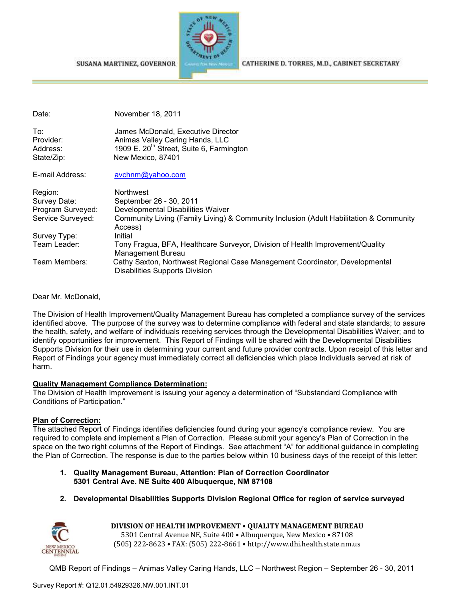SUSANA MARTINEZ, GOVERNOR



CATHERINE D. TORRES, M.D., CABINET SECRETARY

| Date:                                      | November 18, 2011                                                                                                                                  |
|--------------------------------------------|----------------------------------------------------------------------------------------------------------------------------------------------------|
| To:<br>Provider:<br>Address:<br>State/Zip: | James McDonald, Executive Director<br>Animas Valley Caring Hands, LLC<br>1909 E. 20 <sup>th</sup> Street, Suite 6, Farmington<br>New Mexico, 87401 |
| E-mail Address:                            | avchnm@yahoo.com                                                                                                                                   |
| Region:                                    | <b>Northwest</b>                                                                                                                                   |
| Survey Date:                               | September 26 - 30, 2011                                                                                                                            |
| Program Surveyed:                          | Developmental Disabilities Waiver                                                                                                                  |
| Service Surveyed:                          | Community Living (Family Living) & Community Inclusion (Adult Habilitation & Community<br>Access)                                                  |
| Survey Type:                               | Initial                                                                                                                                            |
| Team Leader:                               | Tony Fragua, BFA, Healthcare Surveyor, Division of Health Improvement/Quality<br>Management Bureau                                                 |
| Team Members:                              | Cathy Saxton, Northwest Regional Case Management Coordinator, Developmental<br><b>Disabilities Supports Division</b>                               |

Dear Mr. McDonald,

The Division of Health Improvement/Quality Management Bureau has completed a compliance survey of the services identified above. The purpose of the survey was to determine compliance with federal and state standards; to assure the health, safety, and welfare of individuals receiving services through the Developmental Disabilities Waiver; and to identify opportunities for improvement. This Report of Findings will be shared with the Developmental Disabilities Supports Division for their use in determining your current and future provider contracts. Upon receipt of this letter and Report of Findings your agency must immediately correct all deficiencies which place Individuals served at risk of harm.

### **Quality Management Compliance Determination:**

The Division of Health Improvement is issuing your agency a determination of "Substandard Compliance with Conditions of Participation."

## **Plan of Correction:**

The attached Report of Findings identifies deficiencies found during your agency's compliance review. You are required to complete and implement a Plan of Correction. Please submit your agency's Plan of Correction in the space on the two right columns of the Report of Findings. See attachment "A" for additional guidance in completing the Plan of Correction. The response is due to the parties below within 10 business days of the receipt of this letter:

- **1. Quality Management Bureau, Attention: Plan of Correction Coordinator 5301 Central Ave. NE Suite 400 Albuquerque, NM 87108**
- **2. Developmental Disabilities Supports Division Regional Office for region of service surveyed**



**DIVISION OF HEALTH IMPROVEMENT** • **QUALITY MANAGEMENT BUREAU** 5301 Central Avenue NE, Suite 400 • Albuquerque, New Mexico • 87108 (505) 222-8623 • FAX: (505) 222-8661 • http://www.dhi.health.state.nm.us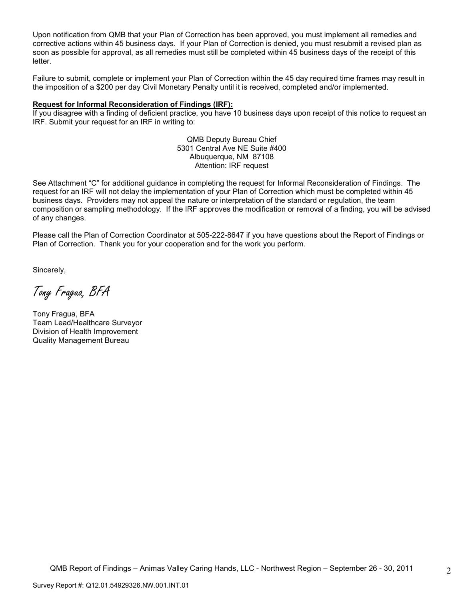Upon notification from QMB that your Plan of Correction has been approved, you must implement all remedies and corrective actions within 45 business days. If your Plan of Correction is denied, you must resubmit a revised plan as soon as possible for approval, as all remedies must still be completed within 45 business days of the receipt of this letter.

Failure to submit, complete or implement your Plan of Correction within the 45 day required time frames may result in the imposition of a \$200 per day Civil Monetary Penalty until it is received, completed and/or implemented.

#### **Request for Informal Reconsideration of Findings (IRF):**

If you disagree with a finding of deficient practice, you have 10 business days upon receipt of this notice to request an IRF. Submit your request for an IRF in writing to:

> QMB Deputy Bureau Chief 5301 Central Ave NE Suite #400 Albuquerque, NM 87108 Attention: IRF request

See Attachment "C" for additional guidance in completing the request for Informal Reconsideration of Findings. The request for an IRF will not delay the implementation of your Plan of Correction which must be completed within 45 business days. Providers may not appeal the nature or interpretation of the standard or regulation, the team composition or sampling methodology. If the IRF approves the modification or removal of a finding, you will be advised of any changes.

Please call the Plan of Correction Coordinator at 505-222-8647 if you have questions about the Report of Findings or Plan of Correction. Thank you for your cooperation and for the work you perform.

Sincerely,

Tony Fragua, BFA

Tony Fragua, BFA Team Lead/Healthcare Surveyor Division of Health Improvement Quality Management Bureau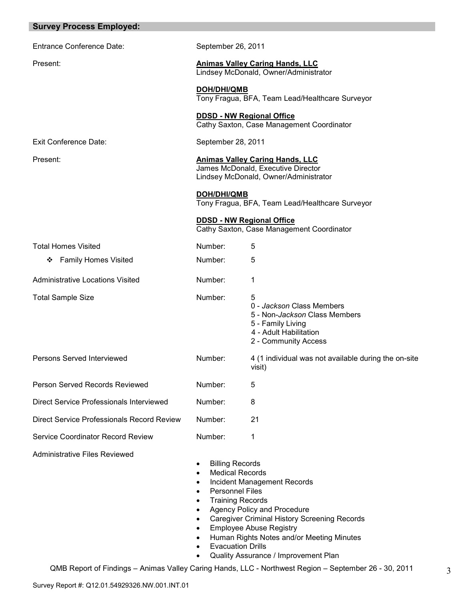| <b>Survey Process Employed:</b>            |                                                                                                                                                                                                                                                |                                                                                                                                                                                                                                                 |
|--------------------------------------------|------------------------------------------------------------------------------------------------------------------------------------------------------------------------------------------------------------------------------------------------|-------------------------------------------------------------------------------------------------------------------------------------------------------------------------------------------------------------------------------------------------|
| <b>Entrance Conference Date:</b>           | September 26, 2011                                                                                                                                                                                                                             |                                                                                                                                                                                                                                                 |
| Present:                                   |                                                                                                                                                                                                                                                | <b>Animas Valley Caring Hands, LLC</b><br>Lindsey McDonald, Owner/Administrator                                                                                                                                                                 |
|                                            | DOH/DHI/QMB                                                                                                                                                                                                                                    | Tony Fragua, BFA, Team Lead/Healthcare Surveyor                                                                                                                                                                                                 |
|                                            | <b>DDSD - NW Regional Office</b>                                                                                                                                                                                                               | Cathy Saxton, Case Management Coordinator                                                                                                                                                                                                       |
| <b>Exit Conference Date:</b>               | September 28, 2011                                                                                                                                                                                                                             |                                                                                                                                                                                                                                                 |
| Present:                                   |                                                                                                                                                                                                                                                | <b>Animas Valley Caring Hands, LLC</b><br>James McDonald, Executive Director<br>Lindsey McDonald, Owner/Administrator                                                                                                                           |
|                                            | <b>DOH/DHI/QMB</b>                                                                                                                                                                                                                             | Tony Fragua, BFA, Team Lead/Healthcare Surveyor                                                                                                                                                                                                 |
|                                            | <b>DDSD - NW Regional Office</b>                                                                                                                                                                                                               | Cathy Saxton, Case Management Coordinator                                                                                                                                                                                                       |
| <b>Total Homes Visited</b>                 | Number:                                                                                                                                                                                                                                        | 5                                                                                                                                                                                                                                               |
| <b>Family Homes Visited</b><br>❖           | Number:                                                                                                                                                                                                                                        | 5                                                                                                                                                                                                                                               |
| <b>Administrative Locations Visited</b>    | Number:                                                                                                                                                                                                                                        | 1                                                                                                                                                                                                                                               |
| <b>Total Sample Size</b>                   | Number:                                                                                                                                                                                                                                        | 5<br>0 - Jackson Class Members<br>5 - Non-Jackson Class Members<br>5 - Family Living<br>4 - Adult Habilitation<br>2 - Community Access                                                                                                          |
| Persons Served Interviewed                 | Number:                                                                                                                                                                                                                                        | 4 (1 individual was not available during the on-site<br>visit)                                                                                                                                                                                  |
| Person Served Records Reviewed             | Number:                                                                                                                                                                                                                                        | 5                                                                                                                                                                                                                                               |
| Direct Service Professionals Interviewed   | Number:                                                                                                                                                                                                                                        | 8                                                                                                                                                                                                                                               |
| Direct Service Professionals Record Review | Number:                                                                                                                                                                                                                                        | 21                                                                                                                                                                                                                                              |
| Service Coordinator Record Review          | Number:                                                                                                                                                                                                                                        | 1                                                                                                                                                                                                                                               |
| <b>Administrative Files Reviewed</b>       | <b>Billing Records</b><br>٠<br><b>Medical Records</b><br>$\bullet$<br><b>Personnel Files</b><br>$\bullet$<br><b>Training Records</b><br>$\bullet$<br>$\bullet$<br>$\bullet$<br>$\bullet$<br>$\bullet$<br><b>Evacuation Drills</b><br>$\bullet$ | <b>Incident Management Records</b><br>Agency Policy and Procedure<br><b>Caregiver Criminal History Screening Records</b><br><b>Employee Abuse Registry</b><br>Human Rights Notes and/or Meeting Minutes<br>Quality Assurance / Improvement Plan |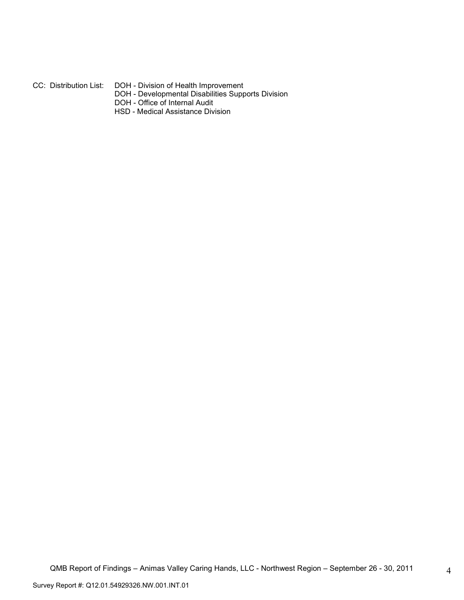#### CC: Distribution List: DOH - Division of Health Improvement

- DOH Developmental Disabilities Supports Division
	- DOH Office of Internal Audit
	- HSD Medical Assistance Division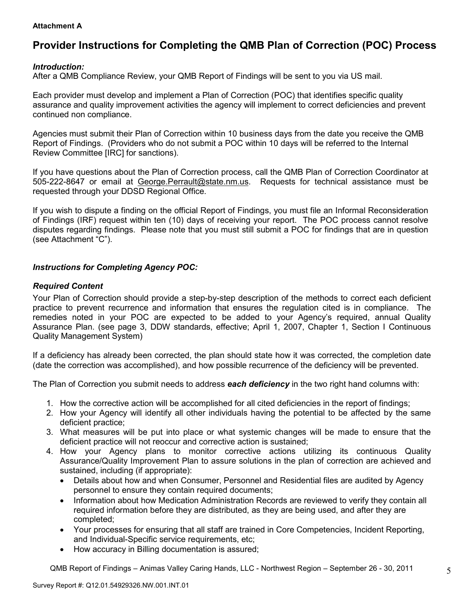### **Attachment A**

# **Provider Instructions for Completing the QMB Plan of Correction (POC) Process**

## *Introduction:*

After a QMB Compliance Review, your QMB Report of Findings will be sent to you via US mail.

Each provider must develop and implement a Plan of Correction (POC) that identifies specific quality assurance and quality improvement activities the agency will implement to correct deficiencies and prevent continued non compliance.

Agencies must submit their Plan of Correction within 10 business days from the date you receive the QMB Report of Findings. (Providers who do not submit a POC within 10 days will be referred to the Internal Review Committee [IRC] for sanctions).

If you have questions about the Plan of Correction process, call the QMB Plan of Correction Coordinator at 505-222-8647 or email at George.Perrault@state.nm.us. Requests for technical assistance must be requested through your DDSD Regional Office.

If you wish to dispute a finding on the official Report of Findings, you must file an Informal Reconsideration of Findings (IRF) request within ten (10) days of receiving your report. The POC process cannot resolve disputes regarding findings. Please note that you must still submit a POC for findings that are in question (see Attachment "C").

## *Instructions for Completing Agency POC:*

### *Required Content*

Your Plan of Correction should provide a step-by-step description of the methods to correct each deficient practice to prevent recurrence and information that ensures the regulation cited is in compliance. The remedies noted in your POC are expected to be added to your Agency's required, annual Quality Assurance Plan. (see page 3, DDW standards, effective; April 1, 2007, Chapter 1, Section I Continuous Quality Management System)

If a deficiency has already been corrected, the plan should state how it was corrected, the completion date (date the correction was accomplished), and how possible recurrence of the deficiency will be prevented.

The Plan of Correction you submit needs to address *each deficiency* in the two right hand columns with:

- 1. How the corrective action will be accomplished for all cited deficiencies in the report of findings;
- 2. How your Agency will identify all other individuals having the potential to be affected by the same deficient practice;
- 3. What measures will be put into place or what systemic changes will be made to ensure that the deficient practice will not reoccur and corrective action is sustained;
- 4. How your Agency plans to monitor corrective actions utilizing its continuous Quality Assurance/Quality Improvement Plan to assure solutions in the plan of correction are achieved and sustained, including (if appropriate):
	- Details about how and when Consumer, Personnel and Residential files are audited by Agency personnel to ensure they contain required documents;
	- Information about how Medication Administration Records are reviewed to verify they contain all required information before they are distributed, as they are being used, and after they are completed;
	- Your processes for ensuring that all staff are trained in Core Competencies, Incident Reporting, and Individual-Specific service requirements, etc;
	- How accuracy in Billing documentation is assured;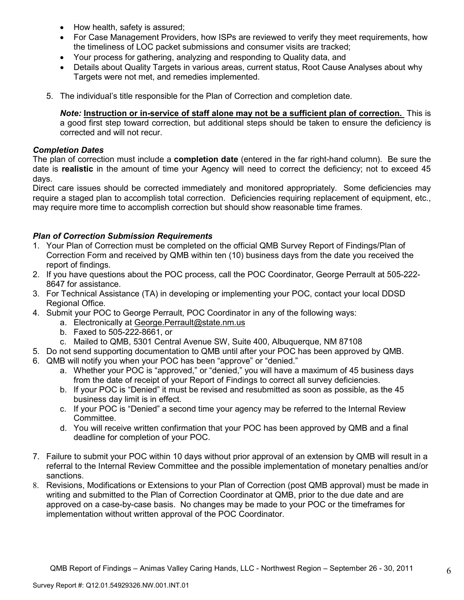- How health, safety is assured;
- For Case Management Providers, how ISPs are reviewed to verify they meet requirements, how the timeliness of LOC packet submissions and consumer visits are tracked;
- Your process for gathering, analyzing and responding to Quality data, and
- Details about Quality Targets in various areas, current status, Root Cause Analyses about why Targets were not met, and remedies implemented.
- 5. The individual's title responsible for the Plan of Correction and completion date.

*Note:* **Instruction or in-service of staff alone may not be a sufficient plan of correction.** This is a good first step toward correction, but additional steps should be taken to ensure the deficiency is corrected and will not recur.

## *Completion Dates*

The plan of correction must include a **completion date** (entered in the far right-hand column). Be sure the date is **realistic** in the amount of time your Agency will need to correct the deficiency; not to exceed 45 days.

Direct care issues should be corrected immediately and monitored appropriately. Some deficiencies may require a staged plan to accomplish total correction. Deficiencies requiring replacement of equipment, etc., may require more time to accomplish correction but should show reasonable time frames.

## *Plan of Correction Submission Requirements*

- 1. Your Plan of Correction must be completed on the official QMB Survey Report of Findings/Plan of Correction Form and received by QMB within ten (10) business days from the date you received the report of findings.
- 2. If you have questions about the POC process, call the POC Coordinator, George Perrault at 505-222- 8647 for assistance.
- 3. For Technical Assistance (TA) in developing or implementing your POC, contact your local DDSD Regional Office.
- 4. Submit your POC to George Perrault, POC Coordinator in any of the following ways:
	- a. Electronically at George.Perrault@state.nm.us
	- b. Faxed to 505-222-8661, or
	- c. Mailed to QMB, 5301 Central Avenue SW, Suite 400, Albuquerque, NM 87108
- 5. Do not send supporting documentation to QMB until after your POC has been approved by QMB.
- 6. QMB will notify you when your POC has been "approve" or "denied."
	- a. Whether your POC is "approved," or "denied," you will have a maximum of 45 business days from the date of receipt of your Report of Findings to correct all survey deficiencies.
	- b. If your POC is "Denied" it must be revised and resubmitted as soon as possible, as the 45 business day limit is in effect.
	- c. If your POC is "Denied" a second time your agency may be referred to the Internal Review **Committee.**
	- d. You will receive written confirmation that your POC has been approved by QMB and a final deadline for completion of your POC.
- 7. Failure to submit your POC within 10 days without prior approval of an extension by QMB will result in a referral to the Internal Review Committee and the possible implementation of monetary penalties and/or sanctions.
- 8. Revisions, Modifications or Extensions to your Plan of Correction (post QMB approval) must be made in writing and submitted to the Plan of Correction Coordinator at QMB, prior to the due date and are approved on a case-by-case basis. No changes may be made to your POC or the timeframes for implementation without written approval of the POC Coordinator.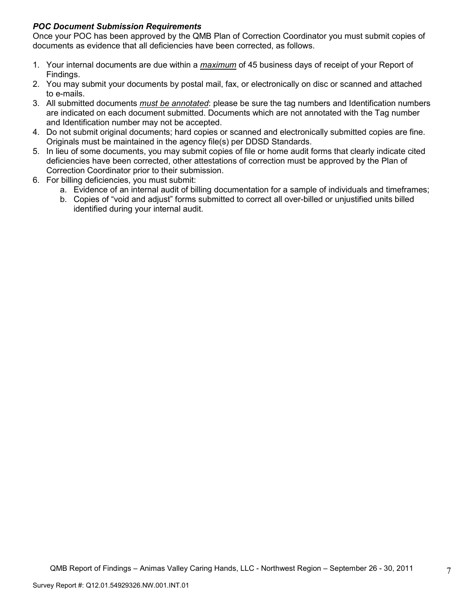## *POC Document Submission Requirements*

Once your POC has been approved by the QMB Plan of Correction Coordinator you must submit copies of documents as evidence that all deficiencies have been corrected, as follows.

- 1. Your internal documents are due within a *maximum* of 45 business days of receipt of your Report of Findings.
- 2. You may submit your documents by postal mail, fax, or electronically on disc or scanned and attached to e-mails.
- 3. All submitted documents *must be annotated*: please be sure the tag numbers and Identification numbers are indicated on each document submitted. Documents which are not annotated with the Tag number and Identification number may not be accepted.
- 4. Do not submit original documents; hard copies or scanned and electronically submitted copies are fine. Originals must be maintained in the agency file(s) per DDSD Standards.
- 5. In lieu of some documents, you may submit copies of file or home audit forms that clearly indicate cited deficiencies have been corrected, other attestations of correction must be approved by the Plan of Correction Coordinator prior to their submission.
- 6. For billing deficiencies, you must submit:
	- a. Evidence of an internal audit of billing documentation for a sample of individuals and timeframes;
	- b. Copies of "void and adjust" forms submitted to correct all over-billed or unjustified units billed identified during your internal audit.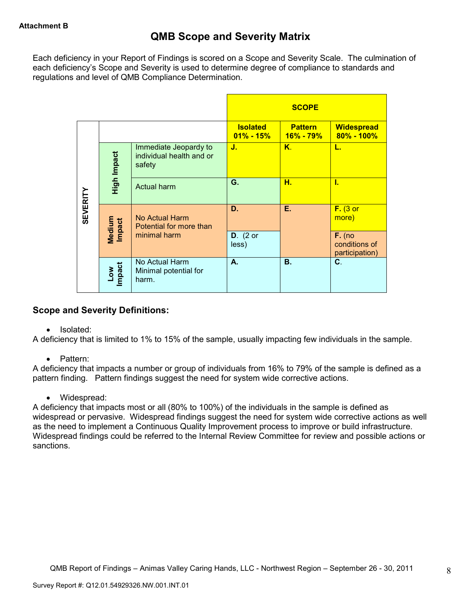Each deficiency in your Report of Findings is scored on a Scope and Severity Scale. The culmination of each deficiency's Scope and Severity is used to determine degree of compliance to standards and regulations and level of QMB Compliance Determination.

|                 |                                |                                                             |                                  | <b>SCOPE</b>                    |                                             |
|-----------------|--------------------------------|-------------------------------------------------------------|----------------------------------|---------------------------------|---------------------------------------------|
|                 |                                |                                                             | <b>Isolated</b><br>$01\% - 15\%$ | <b>Pattern</b><br>$16\% - 79\%$ | <b>Widespread</b><br>$80\% - 100\%$         |
|                 | High Impact                    | Immediate Jeopardy to<br>individual health and or<br>safety | J.                               | $K_{\cdot}$                     | L.                                          |
|                 |                                | <b>Actual harm</b>                                          | G.                               | н.                              | Ī.                                          |
| <b>SEVERITY</b> | <b>Medium</b><br><b>Impact</b> | No Actual Harm<br>Potential for more than                   | D.                               | Е.                              | $F.$ (3 or<br>more)                         |
|                 |                                | minimal harm                                                | $D.$ (2 or<br>less)              |                                 | $F.$ (no<br>conditions of<br>participation) |
|                 | Low<br>Impact                  | No Actual Harm<br>Minimal potential for<br>harm.            | А.                               | <b>B.</b>                       | C.                                          |

## **Scope and Severity Definitions:**

• Isolated:

A deficiency that is limited to 1% to 15% of the sample, usually impacting few individuals in the sample.

• Pattern:

A deficiency that impacts a number or group of individuals from 16% to 79% of the sample is defined as a pattern finding. Pattern findings suggest the need for system wide corrective actions.

• Widespread:

A deficiency that impacts most or all (80% to 100%) of the individuals in the sample is defined as widespread or pervasive. Widespread findings suggest the need for system wide corrective actions as well as the need to implement a Continuous Quality Improvement process to improve or build infrastructure. Widespread findings could be referred to the Internal Review Committee for review and possible actions or sanctions.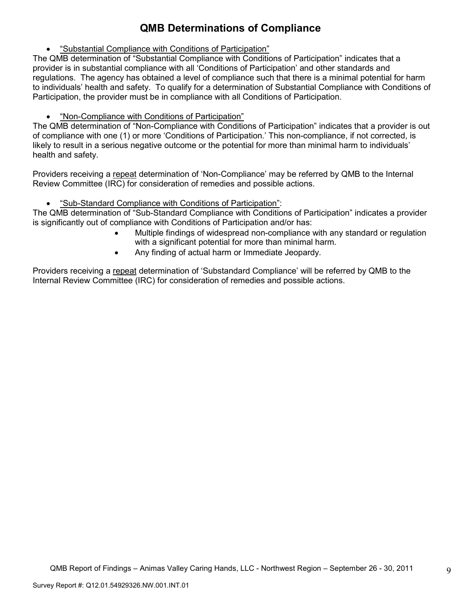# **QMB Determinations of Compliance**

• "Substantial Compliance with Conditions of Participation"

The QMB determination of "Substantial Compliance with Conditions of Participation" indicates that a provider is in substantial compliance with all 'Conditions of Participation' and other standards and regulations. The agency has obtained a level of compliance such that there is a minimal potential for harm to individuals' health and safety. To qualify for a determination of Substantial Compliance with Conditions of Participation, the provider must be in compliance with all Conditions of Participation.

• "Non-Compliance with Conditions of Participation"

The QMB determination of "Non-Compliance with Conditions of Participation" indicates that a provider is out of compliance with one (1) or more 'Conditions of Participation.' This non-compliance, if not corrected, is likely to result in a serious negative outcome or the potential for more than minimal harm to individuals' health and safety.

Providers receiving a repeat determination of 'Non-Compliance' may be referred by QMB to the Internal Review Committee (IRC) for consideration of remedies and possible actions.

• "Sub-Standard Compliance with Conditions of Participation":

The QMB determination of "Sub-Standard Compliance with Conditions of Participation" indicates a provider is significantly out of compliance with Conditions of Participation and/or has:

- Multiple findings of widespread non-compliance with any standard or regulation with a significant potential for more than minimal harm.
- Any finding of actual harm or Immediate Jeopardy.

Providers receiving a repeat determination of 'Substandard Compliance' will be referred by QMB to the Internal Review Committee (IRC) for consideration of remedies and possible actions.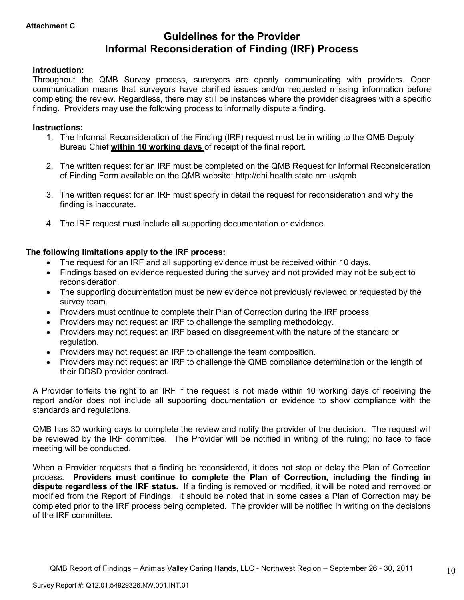# **Guidelines for the Provider Informal Reconsideration of Finding (IRF) Process**

### **Introduction:**

Throughout the QMB Survey process, surveyors are openly communicating with providers. Open communication means that surveyors have clarified issues and/or requested missing information before completing the review. Regardless, there may still be instances where the provider disagrees with a specific finding. Providers may use the following process to informally dispute a finding.

### **Instructions:**

- 1. The Informal Reconsideration of the Finding (IRF) request must be in writing to the QMB Deputy Bureau Chief **within 10 working days** of receipt of the final report.
- 2. The written request for an IRF must be completed on the QMB Request for Informal Reconsideration of Finding Form available on the QMB website: http://dhi.health.state.nm.us/qmb
- 3. The written request for an IRF must specify in detail the request for reconsideration and why the finding is inaccurate.
- 4. The IRF request must include all supporting documentation or evidence.

## **The following limitations apply to the IRF process:**

- The request for an IRF and all supporting evidence must be received within 10 days.
- Findings based on evidence requested during the survey and not provided may not be subject to reconsideration.
- The supporting documentation must be new evidence not previously reviewed or requested by the survey team.
- Providers must continue to complete their Plan of Correction during the IRF process
- Providers may not request an IRF to challenge the sampling methodology.
- Providers may not request an IRF based on disagreement with the nature of the standard or regulation.
- Providers may not request an IRF to challenge the team composition.
- Providers may not request an IRF to challenge the QMB compliance determination or the length of their DDSD provider contract.

A Provider forfeits the right to an IRF if the request is not made within 10 working days of receiving the report and/or does not include all supporting documentation or evidence to show compliance with the standards and regulations.

QMB has 30 working days to complete the review and notify the provider of the decision. The request will be reviewed by the IRF committee. The Provider will be notified in writing of the ruling; no face to face meeting will be conducted.

When a Provider requests that a finding be reconsidered, it does not stop or delay the Plan of Correction process. **Providers must continue to complete the Plan of Correction, including the finding in dispute regardless of the IRF status.** If a finding is removed or modified, it will be noted and removed or modified from the Report of Findings. It should be noted that in some cases a Plan of Correction may be completed prior to the IRF process being completed. The provider will be notified in writing on the decisions of the IRF committee.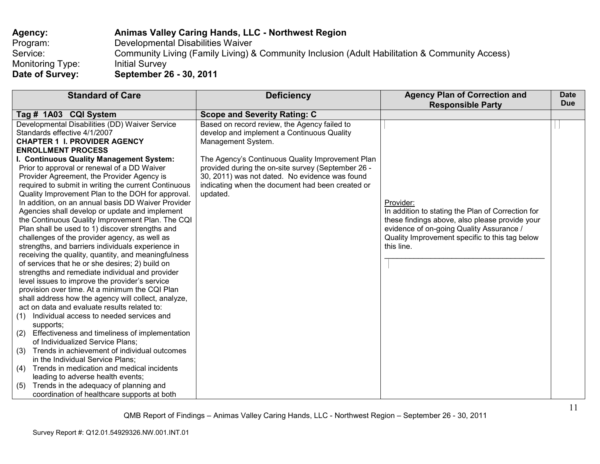| Agency:          | Animas Valley Caring Hands, LLC - Northwest Region                                             |
|------------------|------------------------------------------------------------------------------------------------|
| Program:         | Developmental Disabilities Waiver                                                              |
| Service:         | Community Living (Family Living) & Community Inclusion (Adult Habilitation & Community Access) |
| Monitoring Type: | <b>Initial Survey</b>                                                                          |
| Date of Survey:  | September 26 - 30, 2011                                                                        |

| <b>Standard of Care</b>                               | <b>Deficiency</b>                                  | <b>Agency Plan of Correction and</b>              | <b>Date</b> |
|-------------------------------------------------------|----------------------------------------------------|---------------------------------------------------|-------------|
|                                                       |                                                    | <b>Responsible Party</b>                          | <b>Due</b>  |
| Tag # 1A03 CQI System                                 | <b>Scope and Severity Rating: C</b>                |                                                   |             |
| Developmental Disabilities (DD) Waiver Service        | Based on record review, the Agency failed to       |                                                   |             |
| Standards effective 4/1/2007                          | develop and implement a Continuous Quality         |                                                   |             |
| <b>CHAPTER 1 I. PROVIDER AGENCY</b>                   | Management System.                                 |                                                   |             |
| <b>ENROLLMENT PROCESS</b>                             |                                                    |                                                   |             |
| I. Continuous Quality Management System:              | The Agency's Continuous Quality Improvement Plan   |                                                   |             |
| Prior to approval or renewal of a DD Waiver           | provided during the on-site survey (September 26 - |                                                   |             |
| Provider Agreement, the Provider Agency is            | 30, 2011) was not dated. No evidence was found     |                                                   |             |
| required to submit in writing the current Continuous  | indicating when the document had been created or   |                                                   |             |
| Quality Improvement Plan to the DOH for approval.     | updated.                                           |                                                   |             |
| In addition, on an annual basis DD Waiver Provider    |                                                    | Provider:                                         |             |
| Agencies shall develop or update and implement        |                                                    | In addition to stating the Plan of Correction for |             |
| the Continuous Quality Improvement Plan. The CQI      |                                                    | these findings above, also please provide your    |             |
| Plan shall be used to 1) discover strengths and       |                                                    | evidence of on-going Quality Assurance /          |             |
| challenges of the provider agency, as well as         |                                                    | Quality Improvement specific to this tag below    |             |
| strengths, and barriers individuals experience in     |                                                    | this line.                                        |             |
| receiving the quality, quantity, and meaningfulness   |                                                    |                                                   |             |
| of services that he or she desires; 2) build on       |                                                    |                                                   |             |
| strengths and remediate individual and provider       |                                                    |                                                   |             |
| level issues to improve the provider's service        |                                                    |                                                   |             |
| provision over time. At a minimum the CQI Plan        |                                                    |                                                   |             |
| shall address how the agency will collect, analyze,   |                                                    |                                                   |             |
| act on data and evaluate results related to:          |                                                    |                                                   |             |
| Individual access to needed services and<br>(1)       |                                                    |                                                   |             |
| supports;                                             |                                                    |                                                   |             |
| Effectiveness and timeliness of implementation<br>(2) |                                                    |                                                   |             |
| of Individualized Service Plans;                      |                                                    |                                                   |             |
| Trends in achievement of individual outcomes<br>(3)   |                                                    |                                                   |             |
| in the Individual Service Plans;                      |                                                    |                                                   |             |
| Trends in medication and medical incidents<br>(4)     |                                                    |                                                   |             |
| leading to adverse health events;                     |                                                    |                                                   |             |
| Trends in the adequacy of planning and<br>(5)         |                                                    |                                                   |             |
| coordination of healthcare supports at both           |                                                    |                                                   |             |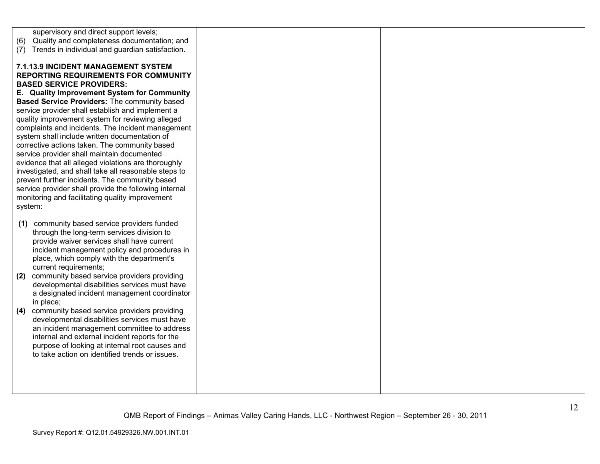| (6)<br>(7) | supervisory and direct support levels;<br>Quality and completeness documentation; and<br>Trends in individual and guardian satisfaction.                                                                                                                                                                                                                                                                                                                                                                                                                                                                                                                                                                                                                    |  |  |
|------------|-------------------------------------------------------------------------------------------------------------------------------------------------------------------------------------------------------------------------------------------------------------------------------------------------------------------------------------------------------------------------------------------------------------------------------------------------------------------------------------------------------------------------------------------------------------------------------------------------------------------------------------------------------------------------------------------------------------------------------------------------------------|--|--|
|            | 7.1.13.9 INCIDENT MANAGEMENT SYSTEM<br><b>REPORTING REQUIREMENTS FOR COMMUNITY</b><br><b>BASED SERVICE PROVIDERS:</b><br>E. Quality Improvement System for Community<br>Based Service Providers: The community based<br>service provider shall establish and implement a<br>quality improvement system for reviewing alleged<br>complaints and incidents. The incident management<br>system shall include written documentation of<br>corrective actions taken. The community based<br>service provider shall maintain documented<br>evidence that all alleged violations are thoroughly<br>investigated, and shall take all reasonable steps to<br>prevent further incidents. The community based<br>service provider shall provide the following internal |  |  |
| system:    | monitoring and facilitating quality improvement                                                                                                                                                                                                                                                                                                                                                                                                                                                                                                                                                                                                                                                                                                             |  |  |
| (1)        | community based service providers funded<br>through the long-term services division to<br>provide waiver services shall have current<br>incident management policy and procedures in<br>place, which comply with the department's                                                                                                                                                                                                                                                                                                                                                                                                                                                                                                                           |  |  |
| (2)        | current requirements;<br>community based service providers providing<br>developmental disabilities services must have<br>a designated incident management coordinator<br>in place;                                                                                                                                                                                                                                                                                                                                                                                                                                                                                                                                                                          |  |  |
| (4)        | community based service providers providing<br>developmental disabilities services must have<br>an incident management committee to address<br>internal and external incident reports for the<br>purpose of looking at internal root causes and<br>to take action on identified trends or issues.                                                                                                                                                                                                                                                                                                                                                                                                                                                           |  |  |
|            |                                                                                                                                                                                                                                                                                                                                                                                                                                                                                                                                                                                                                                                                                                                                                             |  |  |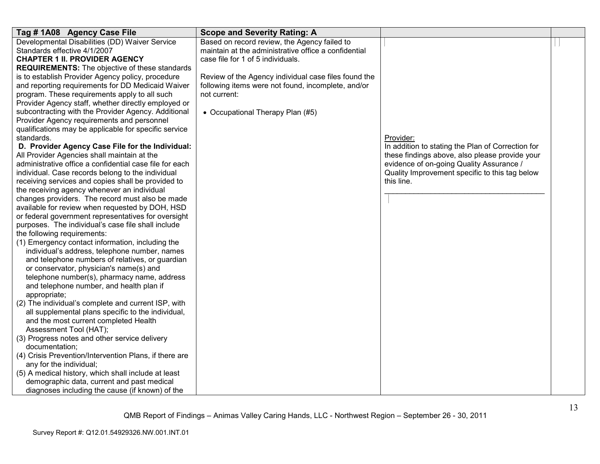| Tag # 1A08 Agency Case File<br>Developmental Disabilities (DD) Waiver Service<br>Standards effective 4/1/2007<br><b>CHAPTER 1 II. PROVIDER AGENCY</b><br><b>REQUIREMENTS:</b> The objective of these standards<br>is to establish Provider Agency policy, procedure<br>and reporting requirements for DD Medicaid Waiver<br>program. These requirements apply to all such<br>Provider Agency staff, whether directly employed or<br>subcontracting with the Provider Agency. Additional<br>Provider Agency requirements and personnel<br>qualifications may be applicable for specific service<br>standards.<br>D. Provider Agency Case File for the Individual:<br>All Provider Agencies shall maintain at the<br>administrative office a confidential case file for each<br>individual. Case records belong to the individual<br>receiving services and copies shall be provided to<br>the receiving agency whenever an individual<br>changes providers. The record must also be made<br>available for review when requested by DOH, HSD<br>or federal government representatives for oversight<br>purposes. The individual's case file shall include<br>the following requirements:<br>(1) Emergency contact information, including the<br>individual's address, telephone number, names<br>and telephone numbers of relatives, or guardian<br>or conservator, physician's name(s) and<br>telephone number(s), pharmacy name, address<br>and telephone number, and health plan if<br>appropriate;<br>(2) The individual's complete and current ISP, with<br>all supplemental plans specific to the individual,<br>and the most current completed Health<br>Assessment Tool (HAT); | <b>Scope and Severity Rating: A</b><br>Based on record review, the Agency failed to<br>maintain at the administrative office a confidential<br>case file for 1 of 5 individuals.<br>Review of the Agency individual case files found the<br>following items were not found, incomplete, and/or<br>not current:<br>• Occupational Therapy Plan (#5) | Provider:<br>In addition to stating the Plan of Correction for<br>these findings above, also please provide your<br>evidence of on-going Quality Assurance /<br>Quality Improvement specific to this tag below<br>this line. |  |
|--------------------------------------------------------------------------------------------------------------------------------------------------------------------------------------------------------------------------------------------------------------------------------------------------------------------------------------------------------------------------------------------------------------------------------------------------------------------------------------------------------------------------------------------------------------------------------------------------------------------------------------------------------------------------------------------------------------------------------------------------------------------------------------------------------------------------------------------------------------------------------------------------------------------------------------------------------------------------------------------------------------------------------------------------------------------------------------------------------------------------------------------------------------------------------------------------------------------------------------------------------------------------------------------------------------------------------------------------------------------------------------------------------------------------------------------------------------------------------------------------------------------------------------------------------------------------------------------------------------------------------------------------------------------------------------|----------------------------------------------------------------------------------------------------------------------------------------------------------------------------------------------------------------------------------------------------------------------------------------------------------------------------------------------------|------------------------------------------------------------------------------------------------------------------------------------------------------------------------------------------------------------------------------|--|
|                                                                                                                                                                                                                                                                                                                                                                                                                                                                                                                                                                                                                                                                                                                                                                                                                                                                                                                                                                                                                                                                                                                                                                                                                                                                                                                                                                                                                                                                                                                                                                                                                                                                                      |                                                                                                                                                                                                                                                                                                                                                    |                                                                                                                                                                                                                              |  |
| (3) Progress notes and other service delivery<br>documentation:<br>(4) Crisis Prevention/Intervention Plans, if there are<br>any for the individual;                                                                                                                                                                                                                                                                                                                                                                                                                                                                                                                                                                                                                                                                                                                                                                                                                                                                                                                                                                                                                                                                                                                                                                                                                                                                                                                                                                                                                                                                                                                                 |                                                                                                                                                                                                                                                                                                                                                    |                                                                                                                                                                                                                              |  |
| (5) A medical history, which shall include at least<br>demographic data, current and past medical<br>diagnoses including the cause (if known) of the                                                                                                                                                                                                                                                                                                                                                                                                                                                                                                                                                                                                                                                                                                                                                                                                                                                                                                                                                                                                                                                                                                                                                                                                                                                                                                                                                                                                                                                                                                                                 |                                                                                                                                                                                                                                                                                                                                                    |                                                                                                                                                                                                                              |  |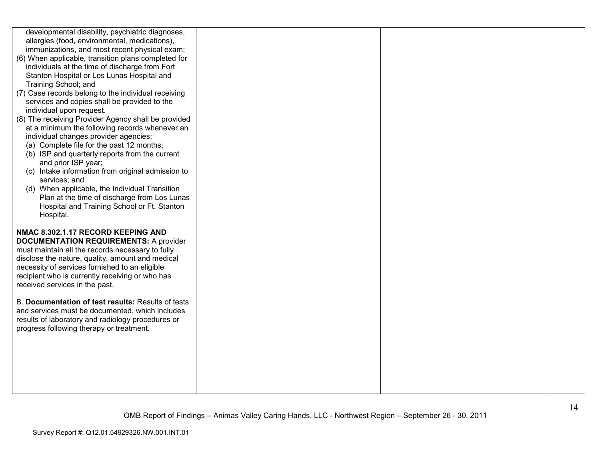| developmental disability, psychiatric diagnoses,    |  |  |
|-----------------------------------------------------|--|--|
| allergies (food, environmental, medications),       |  |  |
| immunizations, and most recent physical exam;       |  |  |
| (6) When applicable, transition plans completed for |  |  |
| individuals at the time of discharge from Fort      |  |  |
| Stanton Hospital or Los Lunas Hospital and          |  |  |
| Training School; and                                |  |  |
| (7) Case records belong to the individual receiving |  |  |
| services and copies shall be provided to the        |  |  |
| individual upon request.                            |  |  |
| (8) The receiving Provider Agency shall be provided |  |  |
| at a minimum the following records whenever an      |  |  |
| individual changes provider agencies:               |  |  |
| (a) Complete file for the past 12 months;           |  |  |
| (b) ISP and quarterly reports from the current      |  |  |
| and prior ISP year;                                 |  |  |
| (c) Intake information from original admission to   |  |  |
| services; and                                       |  |  |
| (d) When applicable, the Individual Transition      |  |  |
| Plan at the time of discharge from Los Lunas        |  |  |
| Hospital and Training School or Ft. Stanton         |  |  |
| Hospital.                                           |  |  |
|                                                     |  |  |
|                                                     |  |  |
| NMAC 8.302.1.17 RECORD KEEPING AND                  |  |  |
| <b>DOCUMENTATION REQUIREMENTS: A provider</b>       |  |  |
| must maintain all the records necessary to fully    |  |  |
| disclose the nature, quality, amount and medical    |  |  |
| necessity of services furnished to an eligible      |  |  |
| recipient who is currently receiving or who has     |  |  |
| received services in the past.                      |  |  |
| B. Documentation of test results: Results of tests  |  |  |
| and services must be documented, which includes     |  |  |
| results of laboratory and radiology procedures or   |  |  |
| progress following therapy or treatment.            |  |  |
|                                                     |  |  |
|                                                     |  |  |
|                                                     |  |  |
|                                                     |  |  |
|                                                     |  |  |
|                                                     |  |  |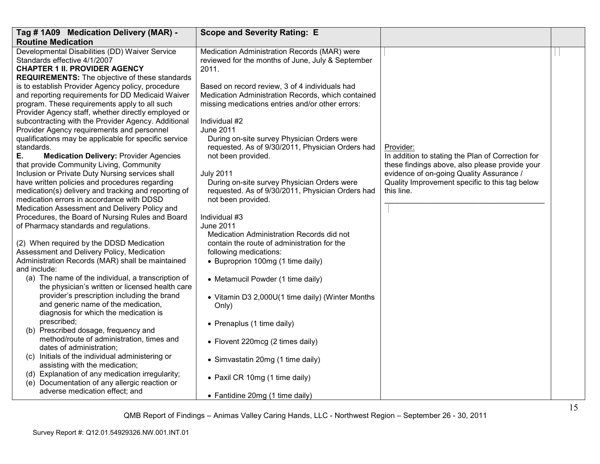| Tag # 1A09 Medication Delivery (MAR) -                                                                                                                                                                                                                                                                                                                                                                                                                                                                     | <b>Scope and Severity Rating: E</b>                                                                                                                                                                                                                                                                                    |                                                                                                                                                            |  |
|------------------------------------------------------------------------------------------------------------------------------------------------------------------------------------------------------------------------------------------------------------------------------------------------------------------------------------------------------------------------------------------------------------------------------------------------------------------------------------------------------------|------------------------------------------------------------------------------------------------------------------------------------------------------------------------------------------------------------------------------------------------------------------------------------------------------------------------|------------------------------------------------------------------------------------------------------------------------------------------------------------|--|
| <b>Routine Medication</b>                                                                                                                                                                                                                                                                                                                                                                                                                                                                                  |                                                                                                                                                                                                                                                                                                                        |                                                                                                                                                            |  |
| Developmental Disabilities (DD) Waiver Service<br>Standards effective 4/1/2007<br><b>CHAPTER 1 II. PROVIDER AGENCY</b>                                                                                                                                                                                                                                                                                                                                                                                     | Medication Administration Records (MAR) were<br>reviewed for the months of June, July & September<br>2011.                                                                                                                                                                                                             |                                                                                                                                                            |  |
| <b>REQUIREMENTS:</b> The objective of these standards<br>is to establish Provider Agency policy, procedure<br>and reporting requirements for DD Medicaid Waiver<br>program. These requirements apply to all such<br>Provider Agency staff, whether directly employed or<br>subcontracting with the Provider Agency. Additional<br>Provider Agency requirements and personnel<br>qualifications may be applicable for specific service<br>standards.<br>Ε.<br><b>Medication Delivery: Provider Agencies</b> | Based on record review, 3 of 4 individuals had<br>Medication Administration Records, which contained<br>missing medications entries and/or other errors:<br>Individual #2<br><b>June 2011</b><br>During on-site survey Physician Orders were<br>requested. As of 9/30/2011, Physician Orders had<br>not been provided. | Provider:<br>In addition to stating the Plan of Correction for                                                                                             |  |
| that provide Community Living, Community<br>Inclusion or Private Duty Nursing services shall<br>have written policies and procedures regarding<br>medication(s) delivery and tracking and reporting of<br>medication errors in accordance with DDSD<br>Medication Assessment and Delivery Policy and                                                                                                                                                                                                       | <b>July 2011</b><br>During on-site survey Physician Orders were<br>requested. As of 9/30/2011, Physician Orders had<br>not been provided.<br>Individual #3                                                                                                                                                             | these findings above, also please provide your<br>evidence of on-going Quality Assurance /<br>Quality Improvement specific to this tag below<br>this line. |  |
| Procedures, the Board of Nursing Rules and Board<br>of Pharmacy standards and regulations.                                                                                                                                                                                                                                                                                                                                                                                                                 | <b>June 2011</b><br>Medication Administration Records did not                                                                                                                                                                                                                                                          |                                                                                                                                                            |  |
| (2) When required by the DDSD Medication<br>Assessment and Delivery Policy, Medication<br>Administration Records (MAR) shall be maintained<br>and include:                                                                                                                                                                                                                                                                                                                                                 | contain the route of administration for the<br>following medications:<br>• Buproprion 100mg (1 time daily)                                                                                                                                                                                                             |                                                                                                                                                            |  |
| (a) The name of the individual, a transcription of<br>the physician's written or licensed health care<br>provider's prescription including the brand<br>and generic name of the medication,<br>diagnosis for which the medication is                                                                                                                                                                                                                                                                       | • Metamucil Powder (1 time daily)<br>• Vitamin D3 2,000U(1 time daily) (Winter Months<br>Only)                                                                                                                                                                                                                         |                                                                                                                                                            |  |
| prescribed;<br>(b) Prescribed dosage, frequency and                                                                                                                                                                                                                                                                                                                                                                                                                                                        | • Prenaplus (1 time daily)                                                                                                                                                                                                                                                                                             |                                                                                                                                                            |  |
| method/route of administration, times and<br>dates of administration;<br>(c) Initials of the individual administering or                                                                                                                                                                                                                                                                                                                                                                                   | • Flovent 220mcg (2 times daily)                                                                                                                                                                                                                                                                                       |                                                                                                                                                            |  |
| assisting with the medication;<br>(d) Explanation of any medication irregularity;                                                                                                                                                                                                                                                                                                                                                                                                                          | • Simvastatin 20mg (1 time daily)                                                                                                                                                                                                                                                                                      |                                                                                                                                                            |  |
| (e) Documentation of any allergic reaction or<br>adverse medication effect; and                                                                                                                                                                                                                                                                                                                                                                                                                            | • Paxil CR 10mg (1 time daily)                                                                                                                                                                                                                                                                                         |                                                                                                                                                            |  |
|                                                                                                                                                                                                                                                                                                                                                                                                                                                                                                            | • Fantidine 20mg (1 time daily)                                                                                                                                                                                                                                                                                        |                                                                                                                                                            |  |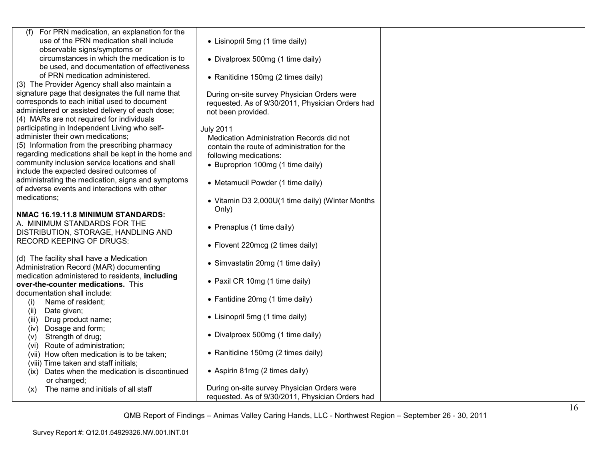| (f) For PRN medication, an explanation for the      |                                                  |  |
|-----------------------------------------------------|--------------------------------------------------|--|
| use of the PRN medication shall include             | • Lisinopril 5mg (1 time daily)                  |  |
| observable signs/symptoms or                        |                                                  |  |
| circumstances in which the medication is to         | • Divalproex 500mg (1 time daily)                |  |
| be used, and documentation of effectiveness         |                                                  |  |
| of PRN medication administered.                     | • Ranitidine 150mg (2 times daily)               |  |
| (3) The Provider Agency shall also maintain a       |                                                  |  |
| signature page that designates the full name that   | During on-site survey Physician Orders were      |  |
| corresponds to each initial used to document        | requested. As of 9/30/2011, Physician Orders had |  |
| administered or assisted delivery of each dose;     | not been provided.                               |  |
| (4) MARs are not required for individuals           |                                                  |  |
| participating in Independent Living who self-       | <b>July 2011</b>                                 |  |
| administer their own medications;                   | Medication Administration Records did not        |  |
| (5) Information from the prescribing pharmacy       | contain the route of administration for the      |  |
| regarding medications shall be kept in the home and | following medications:                           |  |
| community inclusion service locations and shall     | • Buproprion 100mg (1 time daily)                |  |
| include the expected desired outcomes of            |                                                  |  |
| administrating the medication, signs and symptoms   |                                                  |  |
| of adverse events and interactions with other       | • Metamucil Powder (1 time daily)                |  |
| medications;                                        |                                                  |  |
|                                                     | • Vitamin D3 2,000U(1 time daily) (Winter Months |  |
| NMAC 16.19.11.8 MINIMUM STANDARDS:                  | Only)                                            |  |
| A. MINIMUM STANDARDS FOR THE                        |                                                  |  |
| DISTRIBUTION, STORAGE, HANDLING AND                 | • Prenaplus (1 time daily)                       |  |
| <b>RECORD KEEPING OF DRUGS:</b>                     |                                                  |  |
|                                                     | • Flovent 220mcg (2 times daily)                 |  |
| (d) The facility shall have a Medication            |                                                  |  |
| Administration Record (MAR) documenting             | • Simvastatin 20mg (1 time daily)                |  |
| medication administered to residents, including     |                                                  |  |
| over-the-counter medications. This                  | • Paxil CR 10mg (1 time daily)                   |  |
| documentation shall include:                        |                                                  |  |
| Name of resident;<br>(i)                            | • Fantidine 20mg (1 time daily)                  |  |
| Date given;<br>(ii)                                 |                                                  |  |
| Drug product name;<br>(iii)                         | • Lisinopril 5mg (1 time daily)                  |  |
| (iv) Dosage and form;                               |                                                  |  |
| Strength of drug;<br>(v)                            | • Divalproex 500mg (1 time daily)                |  |
| (vi) Route of administration;                       |                                                  |  |
| (vii) How often medication is to be taken;          | • Ranitidine 150mg (2 times daily)               |  |
| (viii) Time taken and staff initials;               |                                                  |  |
| (ix) Dates when the medication is discontinued      | • Aspirin 81mg (2 times daily)                   |  |
| or changed;                                         |                                                  |  |
| The name and initials of all staff<br>(x)           | During on-site survey Physician Orders were      |  |
|                                                     | requested. As of 9/30/2011, Physician Orders had |  |
|                                                     |                                                  |  |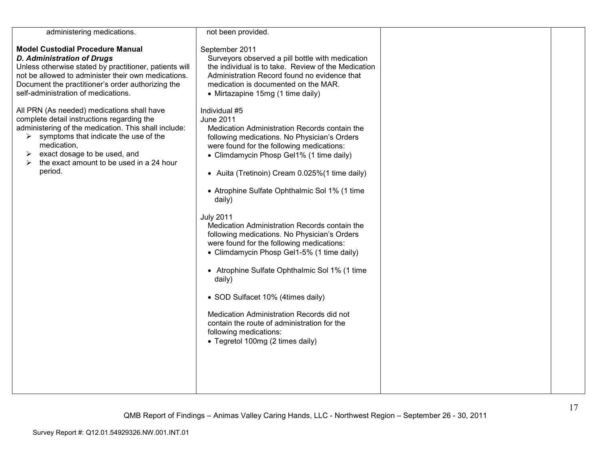| administering medications.                                                                                                                                                                                                                                                                                            | not been provided.                                                                                                                                                                                                                                                                                                                                                                                                                                                                                                                                                                                                                                                                                                                                                                                           |  |
|-----------------------------------------------------------------------------------------------------------------------------------------------------------------------------------------------------------------------------------------------------------------------------------------------------------------------|--------------------------------------------------------------------------------------------------------------------------------------------------------------------------------------------------------------------------------------------------------------------------------------------------------------------------------------------------------------------------------------------------------------------------------------------------------------------------------------------------------------------------------------------------------------------------------------------------------------------------------------------------------------------------------------------------------------------------------------------------------------------------------------------------------------|--|
| <b>Model Custodial Procedure Manual</b><br><b>D. Administration of Drugs</b><br>Unless otherwise stated by practitioner, patients will<br>not be allowed to administer their own medications.<br>Document the practitioner's order authorizing the<br>self-administration of medications.                             | September 2011<br>Surveyors observed a pill bottle with medication<br>the individual is to take. Review of the Medication<br>Administration Record found no evidence that<br>medication is documented on the MAR.<br>• Mirtazapine 15mg (1 time daily)                                                                                                                                                                                                                                                                                                                                                                                                                                                                                                                                                       |  |
| All PRN (As needed) medications shall have<br>complete detail instructions regarding the<br>administering of the medication. This shall include:<br>$\triangleright$ symptoms that indicate the use of the<br>medication,<br>exact dosage to be used, and<br>the exact amount to be used in a 24 hour<br>⋗<br>period. | Individual #5<br>June 2011<br>Medication Administration Records contain the<br>following medications. No Physician's Orders<br>were found for the following medications:<br>• Climdamycin Phosp Gel1% (1 time daily)<br>• Auita (Tretinoin) Cream 0.025% (1 time daily)<br>• Atrophine Sulfate Ophthalmic Sol 1% (1 time<br>daily)<br><b>July 2011</b><br>Medication Administration Records contain the<br>following medications. No Physician's Orders<br>were found for the following medications:<br>• Climdamycin Phosp Gel1-5% (1 time daily)<br>• Atrophine Sulfate Ophthalmic Sol 1% (1 time<br>daily)<br>• SOD Sulfacet 10% (4times daily)<br>Medication Administration Records did not<br>contain the route of administration for the<br>following medications:<br>• Tegretol 100mg (2 times daily) |  |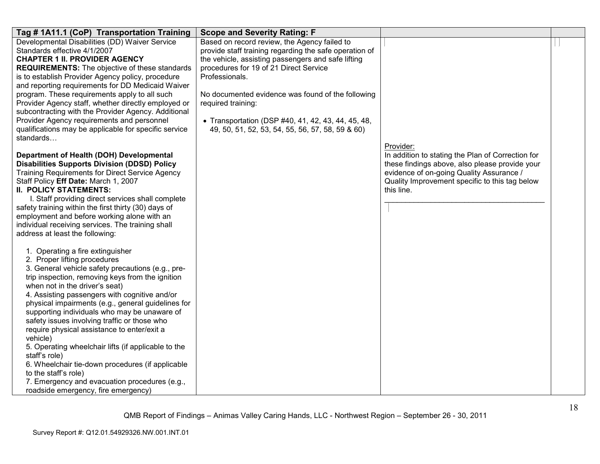| Tag # 1A11.1 (CoP) Transportation Training                                                         | <b>Scope and Severity Rating: F</b>                    |                                                   |  |
|----------------------------------------------------------------------------------------------------|--------------------------------------------------------|---------------------------------------------------|--|
| Developmental Disabilities (DD) Waiver Service                                                     | Based on record review, the Agency failed to           |                                                   |  |
| Standards effective 4/1/2007                                                                       | provide staff training regarding the safe operation of |                                                   |  |
| <b>CHAPTER 1 II. PROVIDER AGENCY</b>                                                               | the vehicle, assisting passengers and safe lifting     |                                                   |  |
| <b>REQUIREMENTS:</b> The objective of these standards                                              | procedures for 19 of 21 Direct Service                 |                                                   |  |
| is to establish Provider Agency policy, procedure                                                  | Professionals.                                         |                                                   |  |
| and reporting requirements for DD Medicaid Waiver<br>program. These requirements apply to all such | No documented evidence was found of the following      |                                                   |  |
| Provider Agency staff, whether directly employed or                                                | required training:                                     |                                                   |  |
| subcontracting with the Provider Agency. Additional                                                |                                                        |                                                   |  |
| Provider Agency requirements and personnel                                                         | • Transportation (DSP #40, 41, 42, 43, 44, 45, 48,     |                                                   |  |
| qualifications may be applicable for specific service                                              | 49, 50, 51, 52, 53, 54, 55, 56, 57, 58, 59 & 60)       |                                                   |  |
| standards                                                                                          |                                                        |                                                   |  |
|                                                                                                    |                                                        | Provider:                                         |  |
| Department of Health (DOH) Developmental                                                           |                                                        | In addition to stating the Plan of Correction for |  |
| <b>Disabilities Supports Division (DDSD) Policy</b>                                                |                                                        | these findings above, also please provide your    |  |
| <b>Training Requirements for Direct Service Agency</b>                                             |                                                        | evidence of on-going Quality Assurance /          |  |
| Staff Policy Eff Date: March 1, 2007                                                               |                                                        | Quality Improvement specific to this tag below    |  |
| <b>II. POLICY STATEMENTS:</b>                                                                      |                                                        | this line.                                        |  |
| I. Staff providing direct services shall complete                                                  |                                                        |                                                   |  |
| safety training within the first thirty (30) days of                                               |                                                        |                                                   |  |
| employment and before working alone with an<br>individual receiving services. The training shall   |                                                        |                                                   |  |
| address at least the following:                                                                    |                                                        |                                                   |  |
|                                                                                                    |                                                        |                                                   |  |
| 1. Operating a fire extinguisher                                                                   |                                                        |                                                   |  |
| 2. Proper lifting procedures                                                                       |                                                        |                                                   |  |
| 3. General vehicle safety precautions (e.g., pre-                                                  |                                                        |                                                   |  |
| trip inspection, removing keys from the ignition                                                   |                                                        |                                                   |  |
| when not in the driver's seat)                                                                     |                                                        |                                                   |  |
| 4. Assisting passengers with cognitive and/or                                                      |                                                        |                                                   |  |
| physical impairments (e.g., general guidelines for                                                 |                                                        |                                                   |  |
| supporting individuals who may be unaware of                                                       |                                                        |                                                   |  |
| safety issues involving traffic or those who                                                       |                                                        |                                                   |  |
| require physical assistance to enter/exit a<br>vehicle)                                            |                                                        |                                                   |  |
| 5. Operating wheelchair lifts (if applicable to the                                                |                                                        |                                                   |  |
| staff's role)                                                                                      |                                                        |                                                   |  |
| 6. Wheelchair tie-down procedures (if applicable                                                   |                                                        |                                                   |  |
| to the staff's role)                                                                               |                                                        |                                                   |  |
| 7. Emergency and evacuation procedures (e.g.,                                                      |                                                        |                                                   |  |
| roadside emergency, fire emergency)                                                                |                                                        |                                                   |  |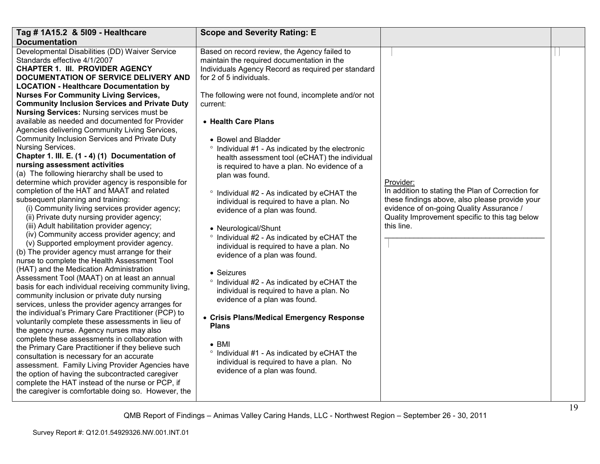| Tag # 1A15.2 & 5109 - Healthcare                                                                                                                                                                                                                                                                                                                                                                                                                                                                                                                                                                                                                                                                                                                                                                                                                                                                                                                                                                                                                                                                                                                                                                                                                                                                                                                                                                                                                                                                                                                                                                                                                                                                                                                                                                                                                                                                                                                                            | <b>Scope and Severity Rating: E</b>                                                                                                                                                                                                                                                                                                                                                                                                                                                                                                                                                                                                                                                                                                                                                                                                                                                                                                                                                                                                                                                                                   |                                                                                                                                                                                                                              |  |
|-----------------------------------------------------------------------------------------------------------------------------------------------------------------------------------------------------------------------------------------------------------------------------------------------------------------------------------------------------------------------------------------------------------------------------------------------------------------------------------------------------------------------------------------------------------------------------------------------------------------------------------------------------------------------------------------------------------------------------------------------------------------------------------------------------------------------------------------------------------------------------------------------------------------------------------------------------------------------------------------------------------------------------------------------------------------------------------------------------------------------------------------------------------------------------------------------------------------------------------------------------------------------------------------------------------------------------------------------------------------------------------------------------------------------------------------------------------------------------------------------------------------------------------------------------------------------------------------------------------------------------------------------------------------------------------------------------------------------------------------------------------------------------------------------------------------------------------------------------------------------------------------------------------------------------------------------------------------------------|-----------------------------------------------------------------------------------------------------------------------------------------------------------------------------------------------------------------------------------------------------------------------------------------------------------------------------------------------------------------------------------------------------------------------------------------------------------------------------------------------------------------------------------------------------------------------------------------------------------------------------------------------------------------------------------------------------------------------------------------------------------------------------------------------------------------------------------------------------------------------------------------------------------------------------------------------------------------------------------------------------------------------------------------------------------------------------------------------------------------------|------------------------------------------------------------------------------------------------------------------------------------------------------------------------------------------------------------------------------|--|
| <b>Documentation</b>                                                                                                                                                                                                                                                                                                                                                                                                                                                                                                                                                                                                                                                                                                                                                                                                                                                                                                                                                                                                                                                                                                                                                                                                                                                                                                                                                                                                                                                                                                                                                                                                                                                                                                                                                                                                                                                                                                                                                        |                                                                                                                                                                                                                                                                                                                                                                                                                                                                                                                                                                                                                                                                                                                                                                                                                                                                                                                                                                                                                                                                                                                       |                                                                                                                                                                                                                              |  |
| Developmental Disabilities (DD) Waiver Service<br>Standards effective 4/1/2007<br><b>CHAPTER 1. III. PROVIDER AGENCY</b><br>DOCUMENTATION OF SERVICE DELIVERY AND<br><b>LOCATION - Healthcare Documentation by</b><br><b>Nurses For Community Living Services,</b><br><b>Community Inclusion Services and Private Duty</b><br><b>Nursing Services: Nursing services must be</b><br>available as needed and documented for Provider<br>Agencies delivering Community Living Services,<br>Community Inclusion Services and Private Duty<br>Nursing Services.<br>Chapter 1. III. E. (1 - 4) (1) Documentation of<br>nursing assessment activities<br>(a) The following hierarchy shall be used to<br>determine which provider agency is responsible for<br>completion of the HAT and MAAT and related<br>subsequent planning and training:<br>(i) Community living services provider agency;<br>(ii) Private duty nursing provider agency;<br>(iii) Adult habilitation provider agency;<br>(iv) Community access provider agency; and<br>(v) Supported employment provider agency.<br>(b) The provider agency must arrange for their<br>nurse to complete the Health Assessment Tool<br>(HAT) and the Medication Administration<br>Assessment Tool (MAAT) on at least an annual<br>basis for each individual receiving community living,<br>community inclusion or private duty nursing<br>services, unless the provider agency arranges for<br>the individual's Primary Care Practitioner (PCP) to<br>voluntarily complete these assessments in lieu of<br>the agency nurse. Agency nurses may also<br>complete these assessments in collaboration with<br>the Primary Care Practitioner if they believe such<br>consultation is necessary for an accurate<br>assessment. Family Living Provider Agencies have<br>the option of having the subcontracted caregiver<br>complete the HAT instead of the nurse or PCP, if<br>the caregiver is comfortable doing so. However, the | Based on record review, the Agency failed to<br>maintain the required documentation in the<br>Individuals Agency Record as required per standard<br>for 2 of 5 individuals.<br>The following were not found, incomplete and/or not<br>current:<br>• Health Care Plans<br>• Bowel and Bladder<br>° Individual #1 - As indicated by the electronic<br>health assessment tool (eCHAT) the individual<br>is required to have a plan. No evidence of a<br>plan was found.<br>° Individual #2 - As indicated by eCHAT the<br>individual is required to have a plan. No<br>evidence of a plan was found.<br>• Neurological/Shunt<br>$\circ$<br>Individual #2 - As indicated by eCHAT the<br>individual is required to have a plan. No<br>evidence of a plan was found.<br>• Seizures<br>° Individual #2 - As indicated by eCHAT the<br>individual is required to have a plan. No<br>evidence of a plan was found.<br>• Crisis Plans/Medical Emergency Response<br><b>Plans</b><br>$\bullet$ BMI<br>° Individual #1 - As indicated by eCHAT the<br>individual is required to have a plan. No<br>evidence of a plan was found. | Provider:<br>In addition to stating the Plan of Correction for<br>these findings above, also please provide your<br>evidence of on-going Quality Assurance /<br>Quality Improvement specific to this tag below<br>this line. |  |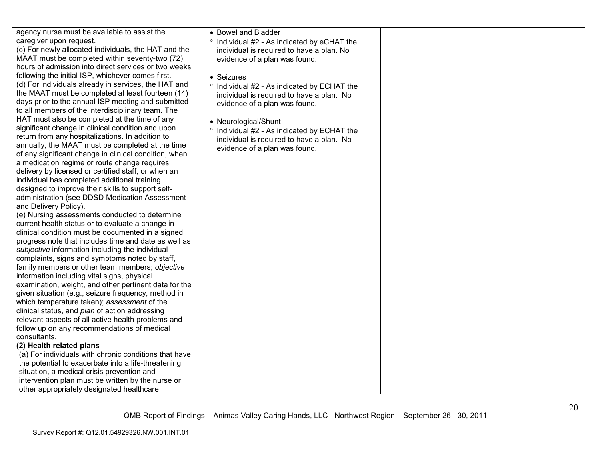| agency nurse must be available to assist the |  |
|----------------------------------------------|--|
| caregiver upon request.                      |  |

 (c) For newly allocated individuals, the HAT and the MAAT must be completed within sever hours of admission into direct services following the initial ISP, whichever con (d) For individuals already in services, the MAAT must be completed at least days prior to the annual ISP meeting a to all members of the interdisciplinary HAT must also be completed at the tim significant change in clinical condition return from any hospitalizations. In add annually, the MAAT must be completed of any significant change in clinical con a medication regime or route change redelivery by licensed or certified staff, or individual has completed additional tra designed to improve their skills to support of administration (see DDSD Medication and Delivery Policy).

 (e) Nursing assessments conducted to determine current health status or to evaluate a c clinical condition must be documented progress note that includes time and date subjective information including the ind complaints, signs and symptoms noted family members or other team member information including vital signs, physic examination, weight, and other pertine given situation (e.g., seizure frequency which temperature taken); assessment clinical status, and *plan* of action addre relevant aspects of all active health pro follow up on any recommendations of consultants.

#### **(2) Health related plans**

 (a) For individuals with chronic conditions that have the potential to exacerbate into a life-threater situation, a medical crisis prevention and intervention plan must be written by the nurse or other appropriately designated healthcare

| sist the<br><b>HAT</b> and the<br>nty-two (72)<br>s or two weeks<br>nes first.<br>the HAT and<br>fourteen (14)<br>and submitted<br>team. The<br>ne of any<br>and upon<br>dition to<br>d at the time<br>ndition, when<br>equires<br>or when an<br>ining<br>port self-<br>Assessment | • Bowel and Bladder<br>Individual #2 - As indicated by eCHAT the<br>$\circ$<br>individual is required to have a plan. No<br>evidence of a plan was found.<br>• Seizures<br>° Individual #2 - As indicated by ECHAT the<br>individual is required to have a plan. No<br>evidence of a plan was found.<br>• Neurological/Shunt<br>Individual #2 - As indicated by ECHAT the<br>$\circ$<br>individual is required to have a plan. No<br>evidence of a plan was found. |  |
|------------------------------------------------------------------------------------------------------------------------------------------------------------------------------------------------------------------------------------------------------------------------------------|--------------------------------------------------------------------------------------------------------------------------------------------------------------------------------------------------------------------------------------------------------------------------------------------------------------------------------------------------------------------------------------------------------------------------------------------------------------------|--|
| o determine<br>change in<br>I in a signed<br>late as well as<br>dividual<br>d by staff,<br>rs; objective<br>cal<br>ent data for the<br>y, method in<br>t of the<br>essing<br>oblems and<br>medical                                                                                 |                                                                                                                                                                                                                                                                                                                                                                                                                                                                    |  |
| ions that have<br>threatening<br>ິ                                                                                                                                                                                                                                                 |                                                                                                                                                                                                                                                                                                                                                                                                                                                                    |  |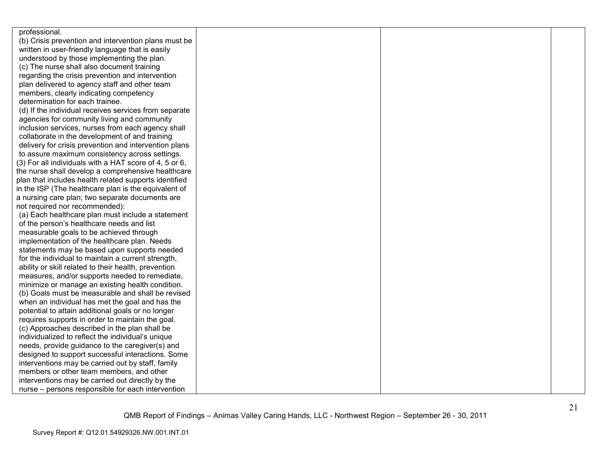| professional.                                          |  |  |
|--------------------------------------------------------|--|--|
| (b) Crisis prevention and intervention plans must be   |  |  |
| written in user-friendly language that is easily       |  |  |
| understood by those implementing the plan.             |  |  |
| (c) The nurse shall also document training             |  |  |
| regarding the crisis prevention and intervention       |  |  |
| plan delivered to agency staff and other team          |  |  |
| members, clearly indicating competency                 |  |  |
| determination for each trainee.                        |  |  |
| (d) If the individual receives services from separate  |  |  |
| agencies for community living and community            |  |  |
| inclusion services, nurses from each agency shall      |  |  |
| collaborate in the development of and training         |  |  |
| delivery for crisis prevention and intervention plans  |  |  |
| to assure maximum consistency across settings.         |  |  |
| (3) For all individuals with a HAT score of 4, 5 or 6, |  |  |
| the nurse shall develop a comprehensive healthcare     |  |  |
| plan that includes health related supports identified  |  |  |
| in the ISP (The healthcare plan is the equivalent of   |  |  |
| a nursing care plan; two separate documents are        |  |  |
| not required nor recommended):                         |  |  |
| (a) Each healthcare plan must include a statement      |  |  |
| of the person's healthcare needs and list              |  |  |
| measurable goals to be achieved through                |  |  |
| implementation of the healthcare plan. Needs           |  |  |
| statements may be based upon supports needed           |  |  |
| for the individual to maintain a current strength,     |  |  |
| ability or skill related to their health, prevention   |  |  |
| measures, and/or supports needed to remediate,         |  |  |
| minimize or manage an existing health condition.       |  |  |
| (b) Goals must be measurable and shall be revised      |  |  |
| when an individual has met the goal and has the        |  |  |
| potential to attain additional goals or no longer      |  |  |
| requires supports in order to maintain the goal.       |  |  |
| (c) Approaches described in the plan shall be          |  |  |
| individualized to reflect the individual's unique      |  |  |
| needs, provide guidance to the caregiver(s) and        |  |  |
| designed to support successful interactions. Some      |  |  |
| interventions may be carried out by staff, family      |  |  |
| members or other team members, and other               |  |  |
| interventions may be carried out directly by the       |  |  |
| nurse – persons responsible for each intervention      |  |  |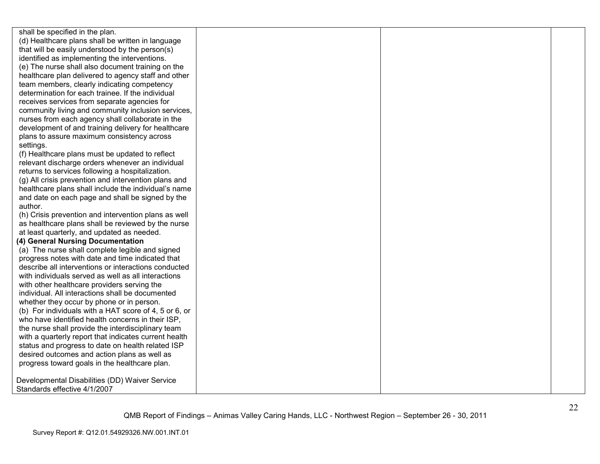shall be specified in the plan. (d) Healthcare plans shall be written in language that will be easily understood by the person(s) identified as implementing the interventions. (e) The nurse shall also document training on the healthcare plan delivered to agency staff and otherteam members, clearly indicating competency determination for each trainee. If the individual receives services from separate agencies for community living and community inclusion services, nurses from each agency shall collaborate in the development of and training delivery for healthcareplans to assure maximum consistency across settings. (f) Healthcare plans must be updated to reflect relevant discharge orders whenever an individual returns to services following a hospitalization. (g) All crisis prevention and intervention plans and healthcare plans shall include the individual's name and date on each page and shall be signed by the author. (h) Crisis prevention and intervention plans as well as healthcare plans shall be reviewed by the nurse at least quarterly, and updated as needed. **(4) General Nursing Documentation**  (a) The nurse shall complete legible and signed progress notes with date and time indicated that describe all interventions or interactions conducted with individuals served as well as all interactionswith other healthcare providers serving the individual. All interactions shall be documented whether they occur by phone or in person. (b) For individuals with a HAT score of 4, 5 or 6, or who have identified health concerns in their ISP, the nurse shall provide the interdisciplinary team with a quarterly report that indicates current health status and progress to date on health related ISP desired outcomes and action plans as well as progress toward goals in the healthcare plan. Developmental Disabilities (DD) Waiver Service Standards effective 4/1/2007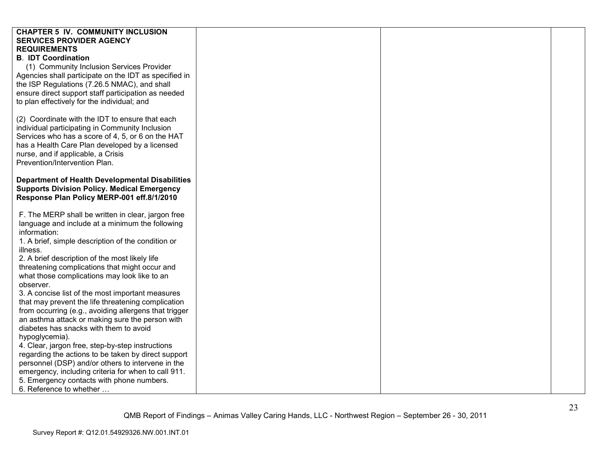| <b>CHAPTER 5 IV. COMMUNITY INCLUSION</b>               |  |  |
|--------------------------------------------------------|--|--|
| <b>SERVICES PROVIDER AGENCY</b>                        |  |  |
| <b>REQUIREMENTS</b>                                    |  |  |
| <b>B. IDT Coordination</b>                             |  |  |
| (1) Community Inclusion Services Provider              |  |  |
| Agencies shall participate on the IDT as specified in  |  |  |
| the ISP Regulations (7.26.5 NMAC), and shall           |  |  |
| ensure direct support staff participation as needed    |  |  |
| to plan effectively for the individual; and            |  |  |
|                                                        |  |  |
| (2) Coordinate with the IDT to ensure that each        |  |  |
| individual participating in Community Inclusion        |  |  |
| Services who has a score of 4, 5, or 6 on the HAT      |  |  |
| has a Health Care Plan developed by a licensed         |  |  |
| nurse, and if applicable, a Crisis                     |  |  |
| Prevention/Intervention Plan.                          |  |  |
|                                                        |  |  |
| <b>Department of Health Developmental Disabilities</b> |  |  |
| <b>Supports Division Policy. Medical Emergency</b>     |  |  |
| Response Plan Policy MERP-001 eff.8/1/2010             |  |  |
|                                                        |  |  |
| F. The MERP shall be written in clear, jargon free     |  |  |
| language and include at a minimum the following        |  |  |
| information:                                           |  |  |
| 1. A brief, simple description of the condition or     |  |  |
| illness.                                               |  |  |
| 2. A brief description of the most likely life         |  |  |
| threatening complications that might occur and         |  |  |
| what those complications may look like to an           |  |  |
| observer.                                              |  |  |
| 3. A concise list of the most important measures       |  |  |
| that may prevent the life threatening complication     |  |  |
| from occurring (e.g., avoiding allergens that trigger  |  |  |
| an asthma attack or making sure the person with        |  |  |
| diabetes has snacks with them to avoid                 |  |  |
| hypoglycemia).                                         |  |  |
| 4. Clear, jargon free, step-by-step instructions       |  |  |
| regarding the actions to be taken by direct support    |  |  |
| personnel (DSP) and/or others to intervene in the      |  |  |
| emergency, including criteria for when to call 911.    |  |  |
| 5. Emergency contacts with phone numbers.              |  |  |
| 6. Reference to whether                                |  |  |
|                                                        |  |  |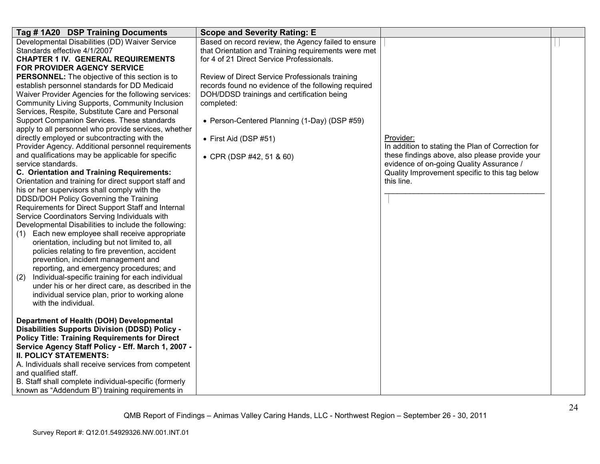| Tag #1A20 DSP Training Documents                                        | <b>Scope and Severity Rating: E</b>                 |                                                                                            |  |
|-------------------------------------------------------------------------|-----------------------------------------------------|--------------------------------------------------------------------------------------------|--|
| Developmental Disabilities (DD) Waiver Service                          | Based on record review, the Agency failed to ensure |                                                                                            |  |
| Standards effective 4/1/2007                                            | that Orientation and Training requirements were met |                                                                                            |  |
| <b>CHAPTER 1 IV. GENERAL REQUIREMENTS</b>                               | for 4 of 21 Direct Service Professionals.           |                                                                                            |  |
| FOR PROVIDER AGENCY SERVICE                                             |                                                     |                                                                                            |  |
| <b>PERSONNEL:</b> The objective of this section is to                   | Review of Direct Service Professionals training     |                                                                                            |  |
| establish personnel standards for DD Medicaid                           | records found no evidence of the following required |                                                                                            |  |
| Waiver Provider Agencies for the following services:                    | DOH/DDSD trainings and certification being          |                                                                                            |  |
| Community Living Supports, Community Inclusion                          | completed:                                          |                                                                                            |  |
| Services, Respite, Substitute Care and Personal                         |                                                     |                                                                                            |  |
| Support Companion Services. These standards                             | • Person-Centered Planning (1-Day) (DSP #59)        |                                                                                            |  |
| apply to all personnel who provide services, whether                    |                                                     |                                                                                            |  |
| directly employed or subcontracting with the                            | $\bullet$ First Aid (DSP #51)                       | Provider:                                                                                  |  |
| Provider Agency. Additional personnel requirements                      |                                                     | In addition to stating the Plan of Correction for                                          |  |
| and qualifications may be applicable for specific<br>service standards. | • CPR (DSP #42, 51 & 60)                            | these findings above, also please provide your<br>evidence of on-going Quality Assurance / |  |
| C. Orientation and Training Requirements:                               |                                                     | Quality Improvement specific to this tag below                                             |  |
| Orientation and training for direct support staff and                   |                                                     | this line.                                                                                 |  |
| his or her supervisors shall comply with the                            |                                                     |                                                                                            |  |
| DDSD/DOH Policy Governing the Training                                  |                                                     |                                                                                            |  |
| Requirements for Direct Support Staff and Internal                      |                                                     |                                                                                            |  |
| Service Coordinators Serving Individuals with                           |                                                     |                                                                                            |  |
| Developmental Disabilities to include the following:                    |                                                     |                                                                                            |  |
| Each new employee shall receive appropriate<br>(1)                      |                                                     |                                                                                            |  |
| orientation, including but not limited to, all                          |                                                     |                                                                                            |  |
| policies relating to fire prevention, accident                          |                                                     |                                                                                            |  |
| prevention, incident management and                                     |                                                     |                                                                                            |  |
| reporting, and emergency procedures; and                                |                                                     |                                                                                            |  |
| Individual-specific training for each individual<br>(2)                 |                                                     |                                                                                            |  |
| under his or her direct care, as described in the                       |                                                     |                                                                                            |  |
| individual service plan, prior to working alone                         |                                                     |                                                                                            |  |
| with the individual.                                                    |                                                     |                                                                                            |  |
|                                                                         |                                                     |                                                                                            |  |
| Department of Health (DOH) Developmental                                |                                                     |                                                                                            |  |
| <b>Disabilities Supports Division (DDSD) Policy -</b>                   |                                                     |                                                                                            |  |
| <b>Policy Title: Training Requirements for Direct</b>                   |                                                     |                                                                                            |  |
| Service Agency Staff Policy - Eff. March 1, 2007 -                      |                                                     |                                                                                            |  |
| <b>II. POLICY STATEMENTS:</b>                                           |                                                     |                                                                                            |  |
| A. Individuals shall receive services from competent                    |                                                     |                                                                                            |  |
| and qualified staff.                                                    |                                                     |                                                                                            |  |
| B. Staff shall complete individual-specific (formerly                   |                                                     |                                                                                            |  |
| known as "Addendum B") training requirements in                         |                                                     |                                                                                            |  |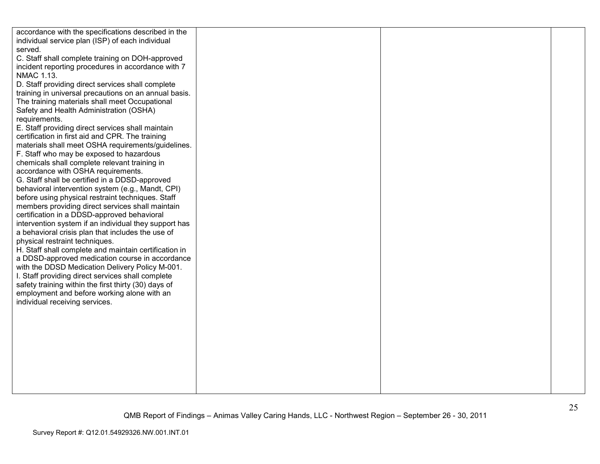| accordance with the specifications described in the   |  |  |
|-------------------------------------------------------|--|--|
| individual service plan (ISP) of each individual      |  |  |
| served.                                               |  |  |
| C. Staff shall complete training on DOH-approved      |  |  |
| incident reporting procedures in accordance with 7    |  |  |
| <b>NMAC 1.13.</b>                                     |  |  |
| D. Staff providing direct services shall complete     |  |  |
| training in universal precautions on an annual basis. |  |  |
| The training materials shall meet Occupational        |  |  |
| Safety and Health Administration (OSHA)               |  |  |
| requirements.                                         |  |  |
| E. Staff providing direct services shall maintain     |  |  |
| certification in first aid and CPR. The training      |  |  |
| materials shall meet OSHA requirements/guidelines.    |  |  |
| F. Staff who may be exposed to hazardous              |  |  |
| chemicals shall complete relevant training in         |  |  |
| accordance with OSHA requirements.                    |  |  |
| G. Staff shall be certified in a DDSD-approved        |  |  |
| behavioral intervention system (e.g., Mandt, CPI)     |  |  |
| before using physical restraint techniques. Staff     |  |  |
| members providing direct services shall maintain      |  |  |
| certification in a DDSD-approved behavioral           |  |  |
| intervention system if an individual they support has |  |  |
| a behavioral crisis plan that includes the use of     |  |  |
| physical restraint techniques.                        |  |  |
| H. Staff shall complete and maintain certification in |  |  |
| a DDSD-approved medication course in accordance       |  |  |
| with the DDSD Medication Delivery Policy M-001.       |  |  |
| I. Staff providing direct services shall complete     |  |  |
| safety training within the first thirty (30) days of  |  |  |
| employment and before working alone with an           |  |  |
| individual receiving services.                        |  |  |
|                                                       |  |  |
|                                                       |  |  |
|                                                       |  |  |
|                                                       |  |  |
|                                                       |  |  |
|                                                       |  |  |
|                                                       |  |  |
|                                                       |  |  |
|                                                       |  |  |
|                                                       |  |  |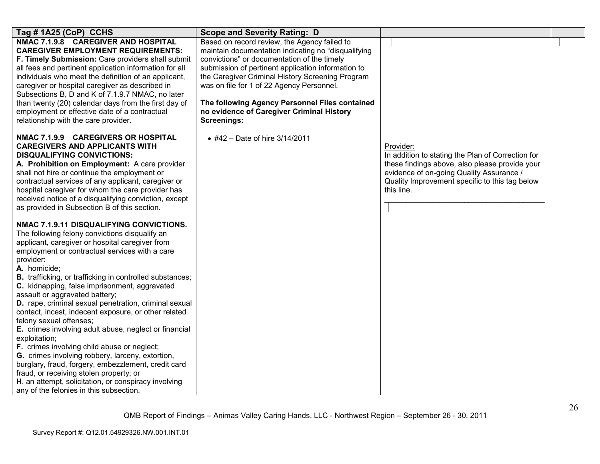| Tag # 1A25 (CoP) CCHS                                                                                                                                                                                                                                                                                                                                                                                                                                                                                                                                                                                                                                                                                                                                                                                                                                                                                            | <b>Scope and Severity Rating: D</b>                                                                                                                                                                                                                                                                                                                                                                                            |                                                                                                                                                                                                                              |  |
|------------------------------------------------------------------------------------------------------------------------------------------------------------------------------------------------------------------------------------------------------------------------------------------------------------------------------------------------------------------------------------------------------------------------------------------------------------------------------------------------------------------------------------------------------------------------------------------------------------------------------------------------------------------------------------------------------------------------------------------------------------------------------------------------------------------------------------------------------------------------------------------------------------------|--------------------------------------------------------------------------------------------------------------------------------------------------------------------------------------------------------------------------------------------------------------------------------------------------------------------------------------------------------------------------------------------------------------------------------|------------------------------------------------------------------------------------------------------------------------------------------------------------------------------------------------------------------------------|--|
| NMAC 7.1.9.8 CAREGIVER AND HOSPITAL<br><b>CAREGIVER EMPLOYMENT REQUIREMENTS:</b><br>F. Timely Submission: Care providers shall submit<br>all fees and pertinent application information for all<br>individuals who meet the definition of an applicant,<br>caregiver or hospital caregiver as described in<br>Subsections B, D and K of 7.1.9.7 NMAC, no later<br>than twenty (20) calendar days from the first day of<br>employment or effective date of a contractual<br>relationship with the care provider.                                                                                                                                                                                                                                                                                                                                                                                                  | Based on record review, the Agency failed to<br>maintain documentation indicating no "disqualifying<br>convictions" or documentation of the timely<br>submission of pertinent application information to<br>the Caregiver Criminal History Screening Program<br>was on file for 1 of 22 Agency Personnel.<br>The following Agency Personnel Files contained<br>no evidence of Caregiver Criminal History<br><b>Screenings:</b> |                                                                                                                                                                                                                              |  |
| NMAC 7.1.9.9 CAREGIVERS OR HOSPITAL<br><b>CAREGIVERS AND APPLICANTS WITH</b><br><b>DISQUALIFYING CONVICTIONS:</b><br>A. Prohibition on Employment: A care provider<br>shall not hire or continue the employment or<br>contractual services of any applicant, caregiver or<br>hospital caregiver for whom the care provider has<br>received notice of a disqualifying conviction, except<br>as provided in Subsection B of this section.                                                                                                                                                                                                                                                                                                                                                                                                                                                                          | • #42 - Date of hire 3/14/2011                                                                                                                                                                                                                                                                                                                                                                                                 | Provider:<br>In addition to stating the Plan of Correction for<br>these findings above, also please provide your<br>evidence of on-going Quality Assurance /<br>Quality Improvement specific to this tag below<br>this line. |  |
| NMAC 7.1.9.11 DISQUALIFYING CONVICTIONS.<br>The following felony convictions disqualify an<br>applicant, caregiver or hospital caregiver from<br>employment or contractual services with a care<br>provider:<br>A. homicide;<br><b>B.</b> trafficking, or trafficking in controlled substances;<br>C. kidnapping, false imprisonment, aggravated<br>assault or aggravated battery;<br>D. rape, criminal sexual penetration, criminal sexual<br>contact, incest, indecent exposure, or other related<br>felony sexual offenses;<br>E. crimes involving adult abuse, neglect or financial<br>exploitation;<br>F. crimes involving child abuse or neglect;<br>G. crimes involving robbery, larceny, extortion,<br>burglary, fraud, forgery, embezzlement, credit card<br>fraud, or receiving stolen property; or<br>H. an attempt, solicitation, or conspiracy involving<br>any of the felonies in this subsection. |                                                                                                                                                                                                                                                                                                                                                                                                                                |                                                                                                                                                                                                                              |  |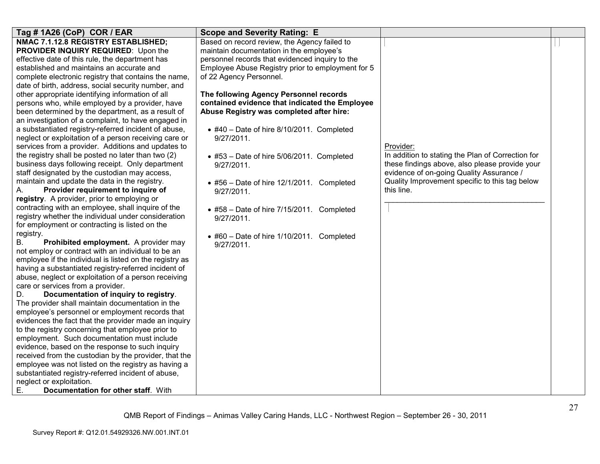| Tag # 1A26 (CoP) COR / EAR                              | <b>Scope and Severity Rating: E</b>               |                                                   |  |
|---------------------------------------------------------|---------------------------------------------------|---------------------------------------------------|--|
| NMAC 7.1.12.8 REGISTRY ESTABLISHED;                     | Based on record review, the Agency failed to      |                                                   |  |
| PROVIDER INQUIRY REQUIRED: Upon the                     | maintain documentation in the employee's          |                                                   |  |
| effective date of this rule, the department has         | personnel records that evidenced inquiry to the   |                                                   |  |
| established and maintains an accurate and               | Employee Abuse Registry prior to employment for 5 |                                                   |  |
| complete electronic registry that contains the name,    | of 22 Agency Personnel.                           |                                                   |  |
| date of birth, address, social security number, and     |                                                   |                                                   |  |
| other appropriate identifying information of all        | The following Agency Personnel records            |                                                   |  |
| persons who, while employed by a provider, have         | contained evidence that indicated the Employee    |                                                   |  |
| been determined by the department, as a result of       | Abuse Registry was completed after hire:          |                                                   |  |
| an investigation of a complaint, to have engaged in     |                                                   |                                                   |  |
| a substantiated registry-referred incident of abuse,    | $\bullet$ #40 - Date of hire 8/10/2011. Completed |                                                   |  |
| neglect or exploitation of a person receiving care or   | 9/27/2011.                                        |                                                   |  |
| services from a provider. Additions and updates to      |                                                   | Provider:                                         |  |
| the registry shall be posted no later than two (2)      | $\bullet$ #53 - Date of hire 5/06/2011. Completed | In addition to stating the Plan of Correction for |  |
| business days following receipt. Only department        | 9/27/2011.                                        | these findings above, also please provide your    |  |
| staff designated by the custodian may access,           |                                                   | evidence of on-going Quality Assurance /          |  |
| maintain and update the data in the registry.           | • #56 - Date of hire 12/1/2011. Completed         | Quality Improvement specific to this tag below    |  |
| Provider requirement to inquire of<br>А.                | 9/27/2011.                                        | this line.                                        |  |
| registry. A provider, prior to employing or             |                                                   |                                                   |  |
| contracting with an employee, shall inquire of the      | $\bullet$ #58 - Date of hire 7/15/2011. Completed |                                                   |  |
| registry whether the individual under consideration     | 9/27/2011.                                        |                                                   |  |
| for employment or contracting is listed on the          |                                                   |                                                   |  |
| registry.                                               | $\bullet$ #60 - Date of hire 1/10/2011. Completed |                                                   |  |
| В.<br>Prohibited employment. A provider may             | 9/27/2011.                                        |                                                   |  |
| not employ or contract with an individual to be an      |                                                   |                                                   |  |
| employee if the individual is listed on the registry as |                                                   |                                                   |  |
| having a substantiated registry-referred incident of    |                                                   |                                                   |  |
| abuse, neglect or exploitation of a person receiving    |                                                   |                                                   |  |
| care or services from a provider.                       |                                                   |                                                   |  |
| D.<br>Documentation of inquiry to registry.             |                                                   |                                                   |  |
| The provider shall maintain documentation in the        |                                                   |                                                   |  |
| employee's personnel or employment records that         |                                                   |                                                   |  |
| evidences the fact that the provider made an inquiry    |                                                   |                                                   |  |
| to the registry concerning that employee prior to       |                                                   |                                                   |  |
| employment. Such documentation must include             |                                                   |                                                   |  |
| evidence, based on the response to such inquiry         |                                                   |                                                   |  |
| received from the custodian by the provider, that the   |                                                   |                                                   |  |
| employee was not listed on the registry as having a     |                                                   |                                                   |  |
| substantiated registry-referred incident of abuse,      |                                                   |                                                   |  |
| neglect or exploitation.                                |                                                   |                                                   |  |
| Е.<br>Documentation for other staff. With               |                                                   |                                                   |  |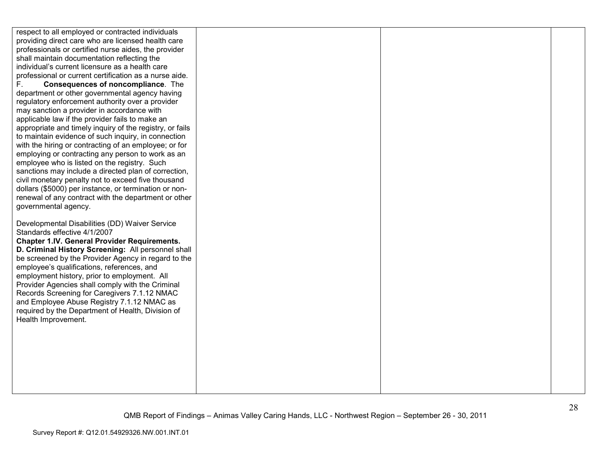| respect to all employed or contracted individuals        |  |  |
|----------------------------------------------------------|--|--|
| providing direct care who are licensed health care       |  |  |
| professionals or certified nurse aides, the provider     |  |  |
| shall maintain documentation reflecting the              |  |  |
| individual's current licensure as a health care          |  |  |
| professional or current certification as a nurse aide.   |  |  |
| F.<br><b>Consequences of noncompliance.</b> The          |  |  |
| department or other governmental agency having           |  |  |
| regulatory enforcement authority over a provider         |  |  |
| may sanction a provider in accordance with               |  |  |
| applicable law if the provider fails to make an          |  |  |
| appropriate and timely inquiry of the registry, or fails |  |  |
| to maintain evidence of such inquiry, in connection      |  |  |
| with the hiring or contracting of an employee; or for    |  |  |
| employing or contracting any person to work as an        |  |  |
| employee who is listed on the registry. Such             |  |  |
| sanctions may include a directed plan of correction,     |  |  |
| civil monetary penalty not to exceed five thousand       |  |  |
| dollars (\$5000) per instance, or termination or non-    |  |  |
| renewal of any contract with the department or other     |  |  |
| governmental agency.                                     |  |  |
|                                                          |  |  |
| Developmental Disabilities (DD) Waiver Service           |  |  |
| Standards effective 4/1/2007                             |  |  |
| <b>Chapter 1.IV. General Provider Requirements.</b>      |  |  |
| D. Criminal History Screening: All personnel shall       |  |  |
| be screened by the Provider Agency in regard to the      |  |  |
| employee's qualifications, references, and               |  |  |
| employment history, prior to employment. All             |  |  |
| Provider Agencies shall comply with the Criminal         |  |  |
| Records Screening for Caregivers 7.1.12 NMAC             |  |  |
| and Employee Abuse Registry 7.1.12 NMAC as               |  |  |
| required by the Department of Health, Division of        |  |  |
| Health Improvement.                                      |  |  |
|                                                          |  |  |
|                                                          |  |  |
|                                                          |  |  |
|                                                          |  |  |
|                                                          |  |  |
|                                                          |  |  |
|                                                          |  |  |
|                                                          |  |  |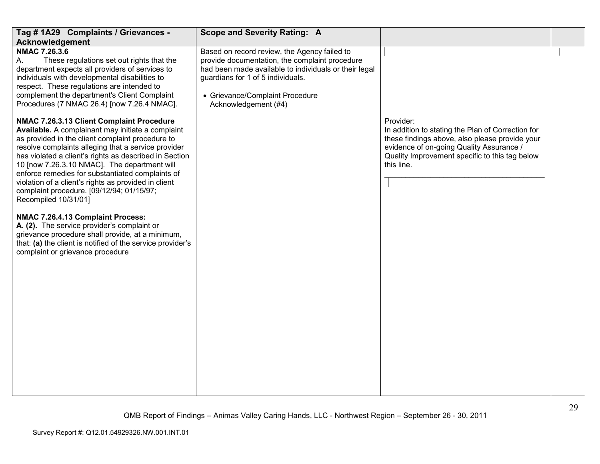| Tag # 1A29 Complaints / Grievances -                                                                                                                                                                                                                                                                                                                                                                                                                                                                 | <b>Scope and Severity Rating: A</b>                                                                                                                                                                                                                     |                                                                                                                                                                                                                              |  |
|------------------------------------------------------------------------------------------------------------------------------------------------------------------------------------------------------------------------------------------------------------------------------------------------------------------------------------------------------------------------------------------------------------------------------------------------------------------------------------------------------|---------------------------------------------------------------------------------------------------------------------------------------------------------------------------------------------------------------------------------------------------------|------------------------------------------------------------------------------------------------------------------------------------------------------------------------------------------------------------------------------|--|
| Acknowledgement                                                                                                                                                                                                                                                                                                                                                                                                                                                                                      |                                                                                                                                                                                                                                                         |                                                                                                                                                                                                                              |  |
| NMAC 7.26.3.6<br>These regulations set out rights that the<br>А.<br>department expects all providers of services to<br>individuals with developmental disabilities to<br>respect. These regulations are intended to<br>complement the department's Client Complaint<br>Procedures (7 NMAC 26.4) [now 7.26.4 NMAC].                                                                                                                                                                                   | Based on record review, the Agency failed to<br>provide documentation, the complaint procedure<br>had been made available to individuals or their legal<br>guardians for 1 of 5 individuals.<br>• Grievance/Complaint Procedure<br>Acknowledgement (#4) |                                                                                                                                                                                                                              |  |
| NMAC 7.26.3.13 Client Complaint Procedure<br>Available. A complainant may initiate a complaint<br>as provided in the client complaint procedure to<br>resolve complaints alleging that a service provider<br>has violated a client's rights as described in Section<br>10 [now 7.26.3.10 NMAC]. The department will<br>enforce remedies for substantiated complaints of<br>violation of a client's rights as provided in client<br>complaint procedure. [09/12/94; 01/15/97;<br>Recompiled 10/31/01] |                                                                                                                                                                                                                                                         | Provider:<br>In addition to stating the Plan of Correction for<br>these findings above, also please provide your<br>evidence of on-going Quality Assurance /<br>Quality Improvement specific to this tag below<br>this line. |  |
| NMAC 7.26.4.13 Complaint Process:<br>A. (2). The service provider's complaint or<br>grievance procedure shall provide, at a minimum,<br>that: (a) the client is notified of the service provider's<br>complaint or grievance procedure                                                                                                                                                                                                                                                               |                                                                                                                                                                                                                                                         |                                                                                                                                                                                                                              |  |
|                                                                                                                                                                                                                                                                                                                                                                                                                                                                                                      |                                                                                                                                                                                                                                                         |                                                                                                                                                                                                                              |  |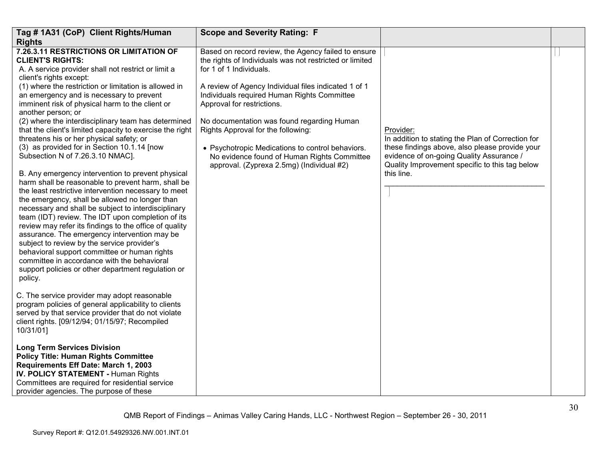| Tag # 1A31 (CoP) Client Rights/Human                                                                                                                                                                                                                                                                                                                                                                                                                                                                                                                                                                                                                                                                                                                                                                                                                                                                                                                                                                                                                                                   | <b>Scope and Severity Rating: F</b>                                                                                                                                                                                                                                                                                                                                   |                                                                                                                                                                                                                              |  |
|----------------------------------------------------------------------------------------------------------------------------------------------------------------------------------------------------------------------------------------------------------------------------------------------------------------------------------------------------------------------------------------------------------------------------------------------------------------------------------------------------------------------------------------------------------------------------------------------------------------------------------------------------------------------------------------------------------------------------------------------------------------------------------------------------------------------------------------------------------------------------------------------------------------------------------------------------------------------------------------------------------------------------------------------------------------------------------------|-----------------------------------------------------------------------------------------------------------------------------------------------------------------------------------------------------------------------------------------------------------------------------------------------------------------------------------------------------------------------|------------------------------------------------------------------------------------------------------------------------------------------------------------------------------------------------------------------------------|--|
| <b>Rights</b>                                                                                                                                                                                                                                                                                                                                                                                                                                                                                                                                                                                                                                                                                                                                                                                                                                                                                                                                                                                                                                                                          |                                                                                                                                                                                                                                                                                                                                                                       |                                                                                                                                                                                                                              |  |
| 7.26.3.11 RESTRICTIONS OR LIMITATION OF<br><b>CLIENT'S RIGHTS:</b><br>A. A service provider shall not restrict or limit a<br>client's rights except:                                                                                                                                                                                                                                                                                                                                                                                                                                                                                                                                                                                                                                                                                                                                                                                                                                                                                                                                   | Based on record review, the Agency failed to ensure<br>the rights of Individuals was not restricted or limited<br>for 1 of 1 Individuals.                                                                                                                                                                                                                             |                                                                                                                                                                                                                              |  |
| (1) where the restriction or limitation is allowed in<br>an emergency and is necessary to prevent<br>imminent risk of physical harm to the client or<br>another person; or<br>(2) where the interdisciplinary team has determined<br>that the client's limited capacity to exercise the right<br>threatens his or her physical safety; or<br>(3) as provided for in Section 10.1.14 [now<br>Subsection N of 7.26.3.10 NMAC].<br>B. Any emergency intervention to prevent physical<br>harm shall be reasonable to prevent harm, shall be<br>the least restrictive intervention necessary to meet<br>the emergency, shall be allowed no longer than<br>necessary and shall be subject to interdisciplinary<br>team (IDT) review. The IDT upon completion of its<br>review may refer its findings to the office of quality<br>assurance. The emergency intervention may be<br>subject to review by the service provider's<br>behavioral support committee or human rights<br>committee in accordance with the behavioral<br>support policies or other department regulation or<br>policy. | A review of Agency Individual files indicated 1 of 1<br>Individuals required Human Rights Committee<br>Approval for restrictions.<br>No documentation was found regarding Human<br>Rights Approval for the following:<br>• Psychotropic Medications to control behaviors.<br>No evidence found of Human Rights Committee<br>approval. (Zyprexa 2.5mg) (Individual #2) | Provider:<br>In addition to stating the Plan of Correction for<br>these findings above, also please provide your<br>evidence of on-going Quality Assurance /<br>Quality Improvement specific to this tag below<br>this line. |  |
| C. The service provider may adopt reasonable<br>program policies of general applicability to clients<br>served by that service provider that do not violate<br>client rights. [09/12/94; 01/15/97; Recompiled<br>10/31/01]                                                                                                                                                                                                                                                                                                                                                                                                                                                                                                                                                                                                                                                                                                                                                                                                                                                             |                                                                                                                                                                                                                                                                                                                                                                       |                                                                                                                                                                                                                              |  |
| <b>Long Term Services Division</b><br><b>Policy Title: Human Rights Committee</b><br>Requirements Eff Date: March 1, 2003<br>IV. POLICY STATEMENT - Human Rights<br>Committees are required for residential service<br>provider agencies. The purpose of these                                                                                                                                                                                                                                                                                                                                                                                                                                                                                                                                                                                                                                                                                                                                                                                                                         |                                                                                                                                                                                                                                                                                                                                                                       |                                                                                                                                                                                                                              |  |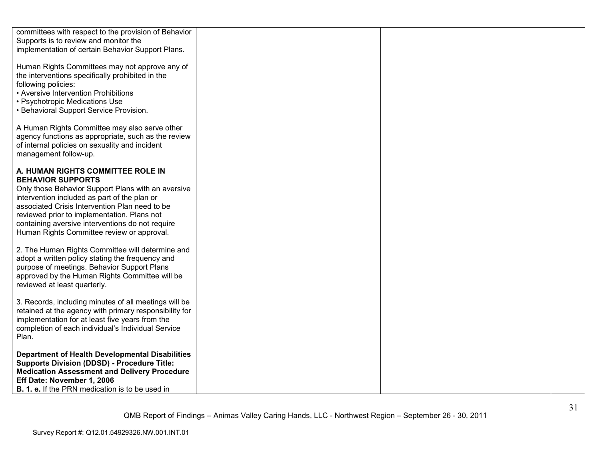| committees with respect to the provision of Behavior   |  |  |
|--------------------------------------------------------|--|--|
| Supports is to review and monitor the                  |  |  |
| implementation of certain Behavior Support Plans.      |  |  |
|                                                        |  |  |
|                                                        |  |  |
| Human Rights Committees may not approve any of         |  |  |
| the interventions specifically prohibited in the       |  |  |
| following policies:                                    |  |  |
|                                                        |  |  |
| • Aversive Intervention Prohibitions                   |  |  |
| • Psychotropic Medications Use                         |  |  |
| • Behavioral Support Service Provision.                |  |  |
|                                                        |  |  |
|                                                        |  |  |
| A Human Rights Committee may also serve other          |  |  |
| agency functions as appropriate, such as the review    |  |  |
| of internal policies on sexuality and incident         |  |  |
| management follow-up.                                  |  |  |
|                                                        |  |  |
|                                                        |  |  |
| A. HUMAN RIGHTS COMMITTEE ROLE IN                      |  |  |
| <b>BEHAVIOR SUPPORTS</b>                               |  |  |
| Only those Behavior Support Plans with an aversive     |  |  |
| intervention included as part of the plan or           |  |  |
| associated Crisis Intervention Plan need to be         |  |  |
|                                                        |  |  |
| reviewed prior to implementation. Plans not            |  |  |
| containing aversive interventions do not require       |  |  |
| Human Rights Committee review or approval.             |  |  |
|                                                        |  |  |
| 2. The Human Rights Committee will determine and       |  |  |
|                                                        |  |  |
| adopt a written policy stating the frequency and       |  |  |
| purpose of meetings. Behavior Support Plans            |  |  |
| approved by the Human Rights Committee will be         |  |  |
| reviewed at least quarterly.                           |  |  |
|                                                        |  |  |
|                                                        |  |  |
| 3. Records, including minutes of all meetings will be  |  |  |
| retained at the agency with primary responsibility for |  |  |
| implementation for at least five years from the        |  |  |
| completion of each individual's Individual Service     |  |  |
| Plan.                                                  |  |  |
|                                                        |  |  |
|                                                        |  |  |
| <b>Department of Health Developmental Disabilities</b> |  |  |
| <b>Supports Division (DDSD) - Procedure Title:</b>     |  |  |
| <b>Medication Assessment and Delivery Procedure</b>    |  |  |
|                                                        |  |  |
| Eff Date: November 1, 2006                             |  |  |
| <b>B. 1. e.</b> If the PRN medication is to be used in |  |  |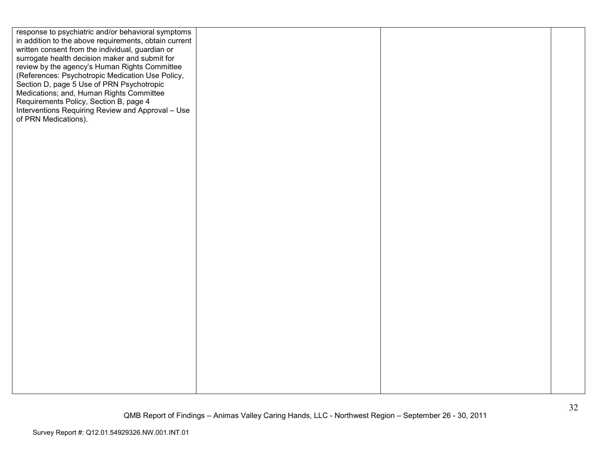| response to psychiatric and/or behavioral symptoms                                 |  |  |
|------------------------------------------------------------------------------------|--|--|
| in addition to the above requirements, obtain current                              |  |  |
| written consent from the individual, guardian or                                   |  |  |
| surrogate health decision maker and submit for                                     |  |  |
| review by the agency's Human Rights Committee                                      |  |  |
| (References: Psychotropic Medication Use Policy,                                   |  |  |
| Section D, page 5 Use of PRN Psychotropic                                          |  |  |
| Medications; and, Human Rights Committee<br>Requirements Policy, Section B, page 4 |  |  |
| Interventions Requiring Review and Approval - Use                                  |  |  |
| of PRN Medications).                                                               |  |  |
|                                                                                    |  |  |
|                                                                                    |  |  |
|                                                                                    |  |  |
|                                                                                    |  |  |
|                                                                                    |  |  |
|                                                                                    |  |  |
|                                                                                    |  |  |
|                                                                                    |  |  |
|                                                                                    |  |  |
|                                                                                    |  |  |
|                                                                                    |  |  |
|                                                                                    |  |  |
|                                                                                    |  |  |
|                                                                                    |  |  |
|                                                                                    |  |  |
|                                                                                    |  |  |
|                                                                                    |  |  |
|                                                                                    |  |  |
|                                                                                    |  |  |
|                                                                                    |  |  |
|                                                                                    |  |  |
|                                                                                    |  |  |
|                                                                                    |  |  |
|                                                                                    |  |  |
|                                                                                    |  |  |
|                                                                                    |  |  |
|                                                                                    |  |  |
|                                                                                    |  |  |
|                                                                                    |  |  |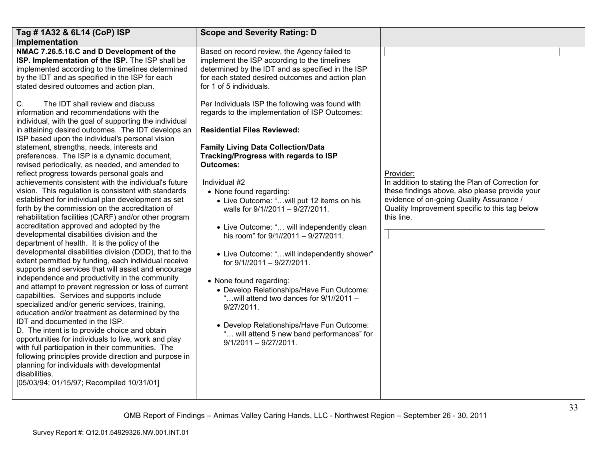| Implementation<br>NMAC 7.26.5.16.C and D Development of the<br>Based on record review, the Agency failed to<br>ISP. Implementation of the ISP. The ISP shall be<br>implement the ISP according to the timelines<br>implemented according to the timelines determined<br>determined by the IDT and as specified in the ISP<br>by the IDT and as specified in the ISP for each<br>for each stated desired outcomes and action plan<br>stated desired outcomes and action plan.<br>for 1 of 5 individuals.<br>The IDT shall review and discuss<br>Per Individuals ISP the following was found with<br>C.<br>regards to the implementation of ISP Outcomes:<br>information and recommendations with the<br>individual, with the goal of supporting the individual<br>in attaining desired outcomes. The IDT develops an<br><b>Residential Files Reviewed:</b><br>ISP based upon the individual's personal vision<br>statement, strengths, needs, interests and<br><b>Family Living Data Collection/Data</b><br>Tracking/Progress with regards to ISP<br>preferences. The ISP is a dynamic document,<br>revised periodically, as needed, and amended to<br>Outcomes:<br>reflect progress towards personal goals and<br>Provider:<br>achievements consistent with the individual's future<br>In addition to stating the Plan of Correction for<br>Individual #2<br>vision. This regulation is consistent with standards<br>these findings above, also please provide your<br>• None found regarding:<br>established for individual plan development as set<br>evidence of on-going Quality Assurance /<br>• Live Outcome: "will put 12 items on his<br>forth by the commission on the accreditation of<br>Quality Improvement specific to this tag below<br>walls for 9/1//2011 - 9/27/2011.<br>this line.<br>rehabilitation facilities (CARF) and/or other program<br>accreditation approved and adopted by the<br>• Live Outcome: " will independently clean<br>developmental disabilities division and the<br>his room" for 9/1//2011 - 9/27/2011.<br>department of health. It is the policy of the<br>developmental disabilities division (DDD), that to the<br>• Live Outcome: "will independently shower"<br>extent permitted by funding, each individual receive<br>for 9/1//2011 - 9/27/2011.<br>supports and services that will assist and encourage<br>independence and productivity in the community<br>• None found regarding:<br>and attempt to prevent regression or loss of current<br>• Develop Relationships/Have Fun Outcome:<br>capabilities. Services and supports include<br>"will attend two dances for 9/1//2011 -<br>specialized and/or generic services, training,<br>9/27/2011.<br>education and/or treatment as determined by the<br>IDT and documented in the ISP.<br>• Develop Relationships/Have Fun Outcome:<br>D. The intent is to provide choice and obtain<br>" will attend 5 new band performances" for<br>opportunities for individuals to live, work and play<br>$9/1/2011 - 9/27/2011$ .<br>with full participation in their communities. The<br>following principles provide direction and purpose in<br>planning for individuals with developmental<br>disabilities. | Tag # 1A32 & 6L14 (CoP) ISP               | <b>Scope and Severity Rating: D</b> |  |
|--------------------------------------------------------------------------------------------------------------------------------------------------------------------------------------------------------------------------------------------------------------------------------------------------------------------------------------------------------------------------------------------------------------------------------------------------------------------------------------------------------------------------------------------------------------------------------------------------------------------------------------------------------------------------------------------------------------------------------------------------------------------------------------------------------------------------------------------------------------------------------------------------------------------------------------------------------------------------------------------------------------------------------------------------------------------------------------------------------------------------------------------------------------------------------------------------------------------------------------------------------------------------------------------------------------------------------------------------------------------------------------------------------------------------------------------------------------------------------------------------------------------------------------------------------------------------------------------------------------------------------------------------------------------------------------------------------------------------------------------------------------------------------------------------------------------------------------------------------------------------------------------------------------------------------------------------------------------------------------------------------------------------------------------------------------------------------------------------------------------------------------------------------------------------------------------------------------------------------------------------------------------------------------------------------------------------------------------------------------------------------------------------------------------------------------------------------------------------------------------------------------------------------------------------------------------------------------------------------------------------------------------------------------------------------------------------------------------------------------------------------------------------------------------------------------------------------------------------------------------------------------------------------------------------------------------------------------------------------------------------------------------------------------------------------------------------------------------------------------------------------------------------------------------------------------------------------|-------------------------------------------|-------------------------------------|--|
|                                                                                                                                                                                                                                                                                                                                                                                                                                                                                                                                                                                                                                                                                                                                                                                                                                                                                                                                                                                                                                                                                                                                                                                                                                                                                                                                                                                                                                                                                                                                                                                                                                                                                                                                                                                                                                                                                                                                                                                                                                                                                                                                                                                                                                                                                                                                                                                                                                                                                                                                                                                                                                                                                                                                                                                                                                                                                                                                                                                                                                                                                                                                                                                                        |                                           |                                     |  |
|                                                                                                                                                                                                                                                                                                                                                                                                                                                                                                                                                                                                                                                                                                                                                                                                                                                                                                                                                                                                                                                                                                                                                                                                                                                                                                                                                                                                                                                                                                                                                                                                                                                                                                                                                                                                                                                                                                                                                                                                                                                                                                                                                                                                                                                                                                                                                                                                                                                                                                                                                                                                                                                                                                                                                                                                                                                                                                                                                                                                                                                                                                                                                                                                        |                                           |                                     |  |
|                                                                                                                                                                                                                                                                                                                                                                                                                                                                                                                                                                                                                                                                                                                                                                                                                                                                                                                                                                                                                                                                                                                                                                                                                                                                                                                                                                                                                                                                                                                                                                                                                                                                                                                                                                                                                                                                                                                                                                                                                                                                                                                                                                                                                                                                                                                                                                                                                                                                                                                                                                                                                                                                                                                                                                                                                                                                                                                                                                                                                                                                                                                                                                                                        |                                           |                                     |  |
|                                                                                                                                                                                                                                                                                                                                                                                                                                                                                                                                                                                                                                                                                                                                                                                                                                                                                                                                                                                                                                                                                                                                                                                                                                                                                                                                                                                                                                                                                                                                                                                                                                                                                                                                                                                                                                                                                                                                                                                                                                                                                                                                                                                                                                                                                                                                                                                                                                                                                                                                                                                                                                                                                                                                                                                                                                                                                                                                                                                                                                                                                                                                                                                                        |                                           |                                     |  |
|                                                                                                                                                                                                                                                                                                                                                                                                                                                                                                                                                                                                                                                                                                                                                                                                                                                                                                                                                                                                                                                                                                                                                                                                                                                                                                                                                                                                                                                                                                                                                                                                                                                                                                                                                                                                                                                                                                                                                                                                                                                                                                                                                                                                                                                                                                                                                                                                                                                                                                                                                                                                                                                                                                                                                                                                                                                                                                                                                                                                                                                                                                                                                                                                        | [05/03/94; 01/15/97; Recompiled 10/31/01] |                                     |  |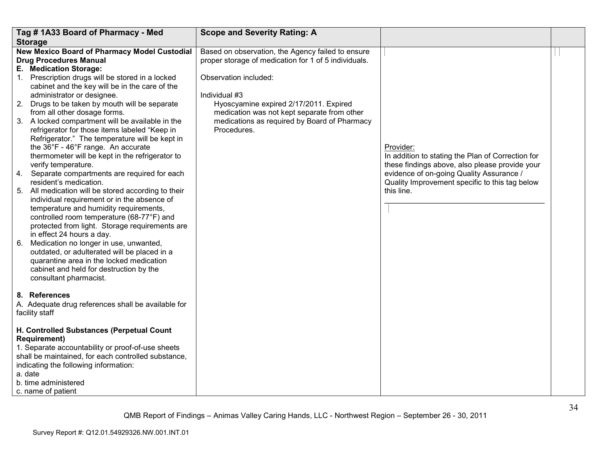|    | Tag #1A33 Board of Pharmacy - Med                                                                                                                                                                                                                                                                                                                                                                                                                                                                                                                                                      | <b>Scope and Severity Rating: A</b>                                                                                                                                   |                                                                                                                                                            |  |
|----|----------------------------------------------------------------------------------------------------------------------------------------------------------------------------------------------------------------------------------------------------------------------------------------------------------------------------------------------------------------------------------------------------------------------------------------------------------------------------------------------------------------------------------------------------------------------------------------|-----------------------------------------------------------------------------------------------------------------------------------------------------------------------|------------------------------------------------------------------------------------------------------------------------------------------------------------|--|
|    | <b>Storage</b>                                                                                                                                                                                                                                                                                                                                                                                                                                                                                                                                                                         |                                                                                                                                                                       |                                                                                                                                                            |  |
|    | <b>New Mexico Board of Pharmacy Model Custodial</b><br><b>Drug Procedures Manual</b><br>E. Medication Storage:<br>1. Prescription drugs will be stored in a locked                                                                                                                                                                                                                                                                                                                                                                                                                     | Based on observation, the Agency failed to ensure<br>proper storage of medication for 1 of 5 individuals.<br>Observation included:                                    |                                                                                                                                                            |  |
|    | cabinet and the key will be in the care of the<br>administrator or designee.<br>2. Drugs to be taken by mouth will be separate<br>from all other dosage forms.<br>3. A locked compartment will be available in the<br>refrigerator for those items labeled "Keep in<br>Refrigerator." The temperature will be kept in<br>the 36°F - 46°F range. An accurate<br>thermometer will be kept in the refrigerator to                                                                                                                                                                         | Individual #3<br>Hyoscyamine expired 2/17/2011. Expired<br>medication was not kept separate from other<br>medications as required by Board of Pharmacy<br>Procedures. | Provider:<br>In addition to stating the Plan of Correction for                                                                                             |  |
| 6. | verify temperature.<br>4. Separate compartments are required for each<br>resident's medication.<br>5. All medication will be stored according to their<br>individual requirement or in the absence of<br>temperature and humidity requirements,<br>controlled room temperature (68-77°F) and<br>protected from light. Storage requirements are<br>in effect 24 hours a day.<br>Medication no longer in use, unwanted,<br>outdated, or adulterated will be placed in a<br>quarantine area in the locked medication<br>cabinet and held for destruction by the<br>consultant pharmacist. |                                                                                                                                                                       | these findings above, also please provide your<br>evidence of on-going Quality Assurance /<br>Quality Improvement specific to this tag below<br>this line. |  |
|    | 8. References<br>A. Adequate drug references shall be available for<br>facility staff                                                                                                                                                                                                                                                                                                                                                                                                                                                                                                  |                                                                                                                                                                       |                                                                                                                                                            |  |
|    | H. Controlled Substances (Perpetual Count<br><b>Requirement)</b><br>1. Separate accountability or proof-of-use sheets<br>shall be maintained, for each controlled substance,<br>indicating the following information:<br>a. date<br>b. time administered<br>c. name of patient                                                                                                                                                                                                                                                                                                         |                                                                                                                                                                       |                                                                                                                                                            |  |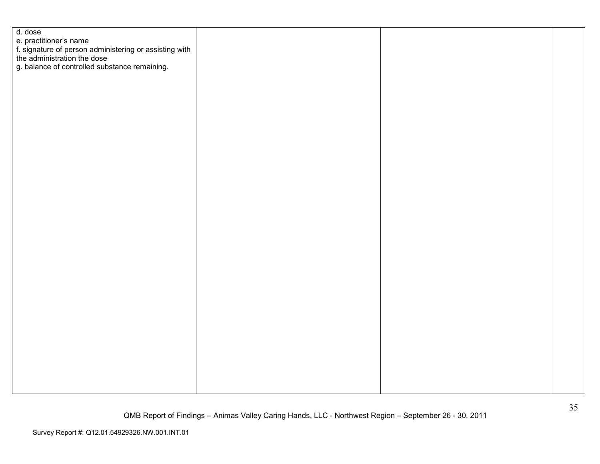| d. dose<br>e. practitioner's name<br>f. signature of person administering or assisting with<br>the administration the dose<br>g. balance of controlled substance remaining. |
|-----------------------------------------------------------------------------------------------------------------------------------------------------------------------------|
|                                                                                                                                                                             |
|                                                                                                                                                                             |
|                                                                                                                                                                             |
|                                                                                                                                                                             |
|                                                                                                                                                                             |
|                                                                                                                                                                             |
|                                                                                                                                                                             |
|                                                                                                                                                                             |
|                                                                                                                                                                             |
|                                                                                                                                                                             |
|                                                                                                                                                                             |
|                                                                                                                                                                             |
|                                                                                                                                                                             |
|                                                                                                                                                                             |
|                                                                                                                                                                             |
|                                                                                                                                                                             |
|                                                                                                                                                                             |
|                                                                                                                                                                             |
|                                                                                                                                                                             |
|                                                                                                                                                                             |
|                                                                                                                                                                             |
|                                                                                                                                                                             |
|                                                                                                                                                                             |
|                                                                                                                                                                             |
|                                                                                                                                                                             |
|                                                                                                                                                                             |
|                                                                                                                                                                             |
|                                                                                                                                                                             |
|                                                                                                                                                                             |
|                                                                                                                                                                             |
|                                                                                                                                                                             |
|                                                                                                                                                                             |
|                                                                                                                                                                             |
|                                                                                                                                                                             |
|                                                                                                                                                                             |
|                                                                                                                                                                             |
|                                                                                                                                                                             |
|                                                                                                                                                                             |
|                                                                                                                                                                             |
|                                                                                                                                                                             |
|                                                                                                                                                                             |
|                                                                                                                                                                             |
|                                                                                                                                                                             |
|                                                                                                                                                                             |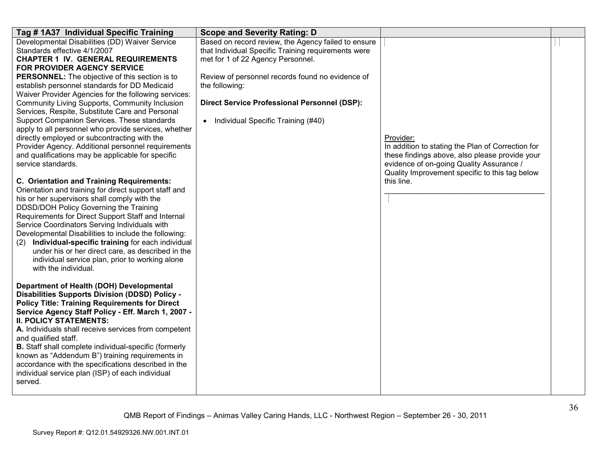| Tag # 1A37 Individual Specific Training                                                                                                                                                                                                                                                                                                                                                                                                                                                                                                                                                                                                                                                                                                                                                                                                                                                                                                                                                                                                                                                                                                             | <b>Scope and Severity Rating: D</b>                                                                                                                                                                                                                                                                                             |                                                                                                                                                                                                                              |  |
|-----------------------------------------------------------------------------------------------------------------------------------------------------------------------------------------------------------------------------------------------------------------------------------------------------------------------------------------------------------------------------------------------------------------------------------------------------------------------------------------------------------------------------------------------------------------------------------------------------------------------------------------------------------------------------------------------------------------------------------------------------------------------------------------------------------------------------------------------------------------------------------------------------------------------------------------------------------------------------------------------------------------------------------------------------------------------------------------------------------------------------------------------------|---------------------------------------------------------------------------------------------------------------------------------------------------------------------------------------------------------------------------------------------------------------------------------------------------------------------------------|------------------------------------------------------------------------------------------------------------------------------------------------------------------------------------------------------------------------------|--|
| Developmental Disabilities (DD) Waiver Service<br>Standards effective 4/1/2007<br><b>CHAPTER 1 IV. GENERAL REQUIREMENTS</b><br>FOR PROVIDER AGENCY SERVICE<br><b>PERSONNEL:</b> The objective of this section is to<br>establish personnel standards for DD Medicaid<br>Waiver Provider Agencies for the following services:<br>Community Living Supports, Community Inclusion<br>Services, Respite, Substitute Care and Personal<br>Support Companion Services. These standards<br>apply to all personnel who provide services, whether<br>directly employed or subcontracting with the<br>Provider Agency. Additional personnel requirements<br>and qualifications may be applicable for specific<br>service standards.<br>C. Orientation and Training Requirements:<br>Orientation and training for direct support staff and<br>his or her supervisors shall comply with the<br>DDSD/DOH Policy Governing the Training<br>Requirements for Direct Support Staff and Internal<br>Service Coordinators Serving Individuals with<br>Developmental Disabilities to include the following:<br>Individual-specific training for each individual<br>(2) | Based on record review, the Agency failed to ensure<br>that Individual Specific Training requirements were<br>met for 1 of 22 Agency Personnel.<br>Review of personnel records found no evidence of<br>the following:<br><b>Direct Service Professional Personnel (DSP):</b><br>Individual Specific Training (#40)<br>$\bullet$ | Provider:<br>In addition to stating the Plan of Correction for<br>these findings above, also please provide your<br>evidence of on-going Quality Assurance /<br>Quality Improvement specific to this tag below<br>this line. |  |
| under his or her direct care, as described in the<br>individual service plan, prior to working alone<br>with the individual.<br>Department of Health (DOH) Developmental<br><b>Disabilities Supports Division (DDSD) Policy -</b><br><b>Policy Title: Training Requirements for Direct</b><br>Service Agency Staff Policy - Eff. March 1, 2007 -<br><b>II. POLICY STATEMENTS:</b><br>A. Individuals shall receive services from competent<br>and qualified staff.<br><b>B.</b> Staff shall complete individual-specific (formerly<br>known as "Addendum B") training requirements in<br>accordance with the specifications described in the<br>individual service plan (ISP) of each individual<br>served.                                                                                                                                                                                                                                                                                                                                                                                                                                          |                                                                                                                                                                                                                                                                                                                                 |                                                                                                                                                                                                                              |  |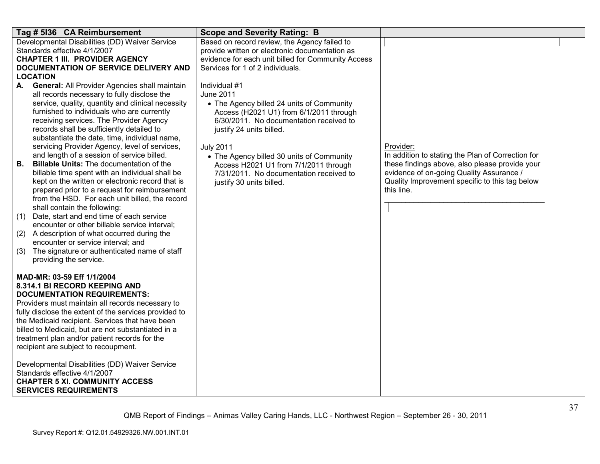| Tag # 5136 CA Reimbursement                                                                       | <b>Scope and Severity Rating: B</b>                                                            |                                                              |  |
|---------------------------------------------------------------------------------------------------|------------------------------------------------------------------------------------------------|--------------------------------------------------------------|--|
| Developmental Disabilities (DD) Waiver Service<br>Standards effective 4/1/2007                    | Based on record review, the Agency failed to<br>provide written or electronic documentation as |                                                              |  |
| <b>CHAPTER 1 III. PROVIDER AGENCY</b>                                                             | evidence for each unit billed for Community Access                                             |                                                              |  |
| DOCUMENTATION OF SERVICE DELIVERY AND                                                             | Services for 1 of 2 individuals.                                                               |                                                              |  |
| <b>LOCATION</b>                                                                                   |                                                                                                |                                                              |  |
| A. General: All Provider Agencies shall maintain                                                  | Individual #1                                                                                  |                                                              |  |
| all records necessary to fully disclose the                                                       | <b>June 2011</b>                                                                               |                                                              |  |
| service, quality, quantity and clinical necessity<br>furnished to individuals who are currently   | • The Agency billed 24 units of Community                                                      |                                                              |  |
| receiving services. The Provider Agency                                                           | Access (H2021 U1) from 6/1/2011 through<br>6/30/2011. No documentation received to             |                                                              |  |
| records shall be sufficiently detailed to                                                         | justify 24 units billed.                                                                       |                                                              |  |
| substantiate the date, time, individual name,                                                     |                                                                                                |                                                              |  |
| servicing Provider Agency, level of services,                                                     | <b>July 2011</b>                                                                               | Provider:                                                    |  |
| and length of a session of service billed.                                                        | • The Agency billed 30 units of Community                                                      | In addition to stating the Plan of Correction for            |  |
| <b>Billable Units: The documentation of the</b><br>В.                                             | Access H2021 U1 from 7/1/2011 through                                                          | these findings above, also please provide your               |  |
| billable time spent with an individual shall be                                                   | 7/31/2011. No documentation received to                                                        | evidence of on-going Quality Assurance /                     |  |
| kept on the written or electronic record that is<br>prepared prior to a request for reimbursement | justify 30 units billed.                                                                       | Quality Improvement specific to this tag below<br>this line. |  |
| from the HSD. For each unit billed, the record                                                    |                                                                                                |                                                              |  |
| shall contain the following:                                                                      |                                                                                                |                                                              |  |
| Date, start and end time of each service<br>(1)                                                   |                                                                                                |                                                              |  |
| encounter or other billable service interval;                                                     |                                                                                                |                                                              |  |
| (2) A description of what occurred during the                                                     |                                                                                                |                                                              |  |
| encounter or service interval; and<br>The signature or authenticated name of staff                |                                                                                                |                                                              |  |
| (3)<br>providing the service.                                                                     |                                                                                                |                                                              |  |
|                                                                                                   |                                                                                                |                                                              |  |
| MAD-MR: 03-59 Eff 1/1/2004                                                                        |                                                                                                |                                                              |  |
| 8.314.1 BI RECORD KEEPING AND                                                                     |                                                                                                |                                                              |  |
| <b>DOCUMENTATION REQUIREMENTS:</b><br>Providers must maintain all records necessary to            |                                                                                                |                                                              |  |
| fully disclose the extent of the services provided to                                             |                                                                                                |                                                              |  |
| the Medicaid recipient. Services that have been                                                   |                                                                                                |                                                              |  |
| billed to Medicaid, but are not substantiated in a                                                |                                                                                                |                                                              |  |
| treatment plan and/or patient records for the                                                     |                                                                                                |                                                              |  |
| recipient are subject to recoupment.                                                              |                                                                                                |                                                              |  |
| Developmental Disabilities (DD) Waiver Service                                                    |                                                                                                |                                                              |  |
| Standards effective 4/1/2007                                                                      |                                                                                                |                                                              |  |
| <b>CHAPTER 5 XI. COMMUNITY ACCESS</b>                                                             |                                                                                                |                                                              |  |
| <b>SERVICES REQUIREMENTS</b>                                                                      |                                                                                                |                                                              |  |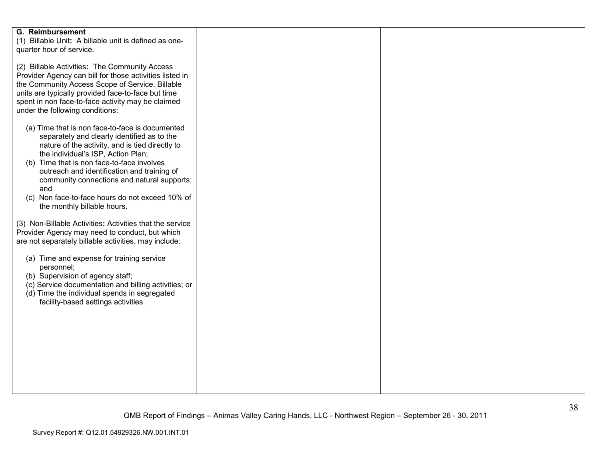| <b>G. Reimbursement</b><br>(1) Billable Unit: A billable unit is defined as one-<br>quarter hour of service.                                                                                                                                                                                                                                                                                                                 |  |  |
|------------------------------------------------------------------------------------------------------------------------------------------------------------------------------------------------------------------------------------------------------------------------------------------------------------------------------------------------------------------------------------------------------------------------------|--|--|
| (2) Billable Activities: The Community Access<br>Provider Agency can bill for those activities listed in<br>the Community Access Scope of Service. Billable<br>units are typically provided face-to-face but time<br>spent in non face-to-face activity may be claimed<br>under the following conditions:                                                                                                                    |  |  |
| (a) Time that is non face-to-face is documented<br>separately and clearly identified as to the<br>nature of the activity, and is tied directly to<br>the individual's ISP, Action Plan;<br>(b) Time that is non face-to-face involves<br>outreach and identification and training of<br>community connections and natural supports;<br>and<br>(c) Non face-to-face hours do not exceed 10% of<br>the monthly billable hours. |  |  |
| (3) Non-Billable Activities: Activities that the service<br>Provider Agency may need to conduct, but which<br>are not separately billable activities, may include:                                                                                                                                                                                                                                                           |  |  |
| (a) Time and expense for training service<br>personnel;<br>(b) Supervision of agency staff;<br>(c) Service documentation and billing activities; or<br>(d) Time the individual spends in segregated<br>facility-based settings activities.                                                                                                                                                                                   |  |  |
|                                                                                                                                                                                                                                                                                                                                                                                                                              |  |  |
|                                                                                                                                                                                                                                                                                                                                                                                                                              |  |  |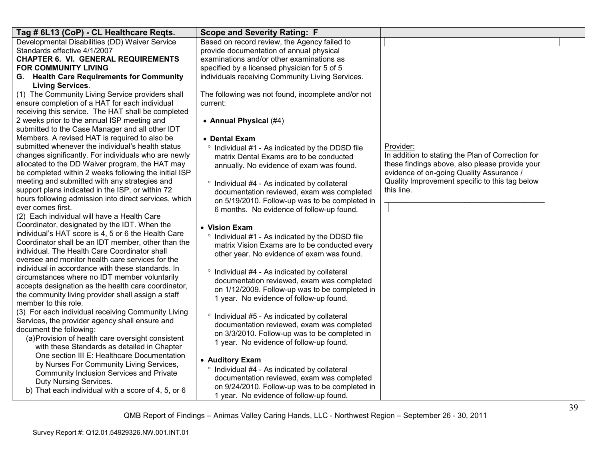| Tag # 6L13 (CoP) - CL Healthcare Regts.                                                                  | <b>Scope and Severity Rating: F</b>                        |                                                                                            |  |
|----------------------------------------------------------------------------------------------------------|------------------------------------------------------------|--------------------------------------------------------------------------------------------|--|
| Developmental Disabilities (DD) Waiver Service                                                           | Based on record review, the Agency failed to               |                                                                                            |  |
| Standards effective 4/1/2007                                                                             | provide documentation of annual physical                   |                                                                                            |  |
| <b>CHAPTER 6. VI. GENERAL REQUIREMENTS</b>                                                               | examinations and/or other examinations as                  |                                                                                            |  |
| <b>FOR COMMUNITY LIVING</b>                                                                              | specified by a licensed physician for 5 of 5               |                                                                                            |  |
| G. Health Care Requirements for Community                                                                | individuals receiving Community Living Services.           |                                                                                            |  |
| <b>Living Services.</b><br>(1) The Community Living Service providers shall                              | The following was not found, incomplete and/or not         |                                                                                            |  |
| ensure completion of a HAT for each individual                                                           | current:                                                   |                                                                                            |  |
| receiving this service. The HAT shall be completed                                                       |                                                            |                                                                                            |  |
| 2 weeks prior to the annual ISP meeting and                                                              | • Annual Physical (#4)                                     |                                                                                            |  |
| submitted to the Case Manager and all other IDT                                                          |                                                            |                                                                                            |  |
| Members. A revised HAT is required to also be                                                            | • Dental Exam                                              |                                                                                            |  |
| submitted whenever the individual's health status                                                        | ° Individual #1 - As indicated by the DDSD file            | Provider:                                                                                  |  |
| changes significantly. For individuals who are newly                                                     | matrix Dental Exams are to be conducted                    | In addition to stating the Plan of Correction for                                          |  |
| allocated to the DD Waiver program, the HAT may<br>be completed within 2 weeks following the initial ISP | annually. No evidence of exam was found.                   | these findings above, also please provide your<br>evidence of on-going Quality Assurance / |  |
| meeting and submitted with any strategies and                                                            |                                                            | Quality Improvement specific to this tag below                                             |  |
| support plans indicated in the ISP, or within 72                                                         | ° Individual #4 - As indicated by collateral               | this line.                                                                                 |  |
| hours following admission into direct services, which                                                    | documentation reviewed, exam was completed                 |                                                                                            |  |
| ever comes first.                                                                                        | on 5/19/2010. Follow-up was to be completed in             |                                                                                            |  |
| (2) Each individual will have a Health Care                                                              | 6 months. No evidence of follow-up found.                  |                                                                                            |  |
| Coordinator, designated by the IDT. When the                                                             | • Vision Exam                                              |                                                                                            |  |
| individual's HAT score is 4, 5 or 6 the Health Care                                                      | <sup>o</sup> Individual #1 - As indicated by the DDSD file |                                                                                            |  |
| Coordinator shall be an IDT member, other than the                                                       | matrix Vision Exams are to be conducted every              |                                                                                            |  |
| individual. The Health Care Coordinator shall                                                            | other year. No evidence of exam was found.                 |                                                                                            |  |
| oversee and monitor health care services for the                                                         |                                                            |                                                                                            |  |
| individual in accordance with these standards. In                                                        | ° Individual #4 - As indicated by collateral               |                                                                                            |  |
| circumstances where no IDT member voluntarily                                                            | documentation reviewed, exam was completed                 |                                                                                            |  |
| accepts designation as the health care coordinator,                                                      | on 1/12/2009. Follow-up was to be completed in             |                                                                                            |  |
| the community living provider shall assign a staff                                                       | 1 year. No evidence of follow-up found.                    |                                                                                            |  |
| member to this role.<br>(3) For each individual receiving Community Living                               |                                                            |                                                                                            |  |
| Services, the provider agency shall ensure and                                                           | $\circ$<br>Individual #5 - As indicated by collateral      |                                                                                            |  |
| document the following:                                                                                  | documentation reviewed, exam was completed                 |                                                                                            |  |
| (a) Provision of health care oversight consistent                                                        | on 3/3/2010. Follow-up was to be completed in              |                                                                                            |  |
| with these Standards as detailed in Chapter                                                              | 1 year. No evidence of follow-up found.                    |                                                                                            |  |
| One section III E: Healthcare Documentation                                                              |                                                            |                                                                                            |  |
| by Nurses For Community Living Services,                                                                 | • Auditory Exam                                            |                                                                                            |  |
| Community Inclusion Services and Private                                                                 | ° Individual #4 - As indicated by collateral               |                                                                                            |  |
| Duty Nursing Services.                                                                                   | documentation reviewed, exam was completed                 |                                                                                            |  |
| b) That each individual with a score of 4, 5, or 6                                                       | on 9/24/2010. Follow-up was to be completed in             |                                                                                            |  |
|                                                                                                          | 1 year. No evidence of follow-up found.                    |                                                                                            |  |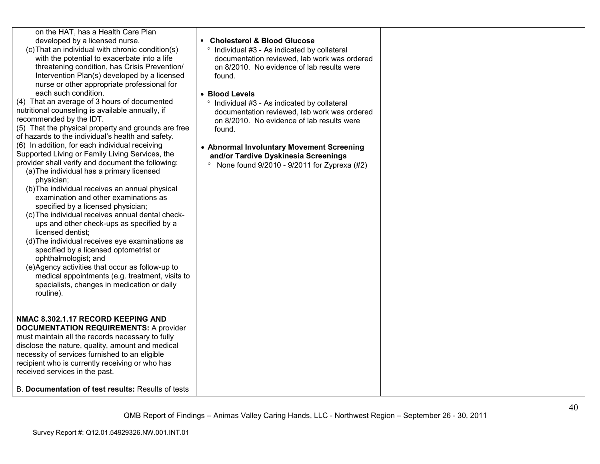| on the HAT, has a Health Care Plan<br>developed by a licensed nurse.<br>(c) That an individual with chronic condition(s)<br>with the potential to exacerbate into a life<br>threatening condition, has Crisis Prevention/<br>Intervention Plan(s) developed by a licensed<br>nurse or other appropriate professional for<br>each such condition.<br>(4) That an average of 3 hours of documented<br>nutritional counseling is available annually, if<br>recommended by the IDT.<br>(5) That the physical property and grounds are free<br>of hazards to the individual's health and safety.<br>(6) In addition, for each individual receiving<br>Supported Living or Family Living Services, the<br>provider shall verify and document the following:<br>(a) The individual has a primary licensed<br>physician;<br>(b) The individual receives an annual physical<br>examination and other examinations as<br>specified by a licensed physician;<br>(c) The individual receives annual dental check-<br>ups and other check-ups as specified by a<br>licensed dentist:<br>(d) The individual receives eye examinations as<br>specified by a licensed optometrist or<br>ophthalmologist; and<br>(e)Agency activities that occur as follow-up to<br>medical appointments (e.g. treatment, visits to<br>specialists, changes in medication or daily<br>routine). | • Cholesterol & Blood Glucose<br>° Individual #3 - As indicated by collateral<br>documentation reviewed, lab work was ordered<br>on 8/2010. No evidence of lab results were<br>found.<br>• Blood Levels<br>° Individual #3 - As indicated by collateral<br>documentation reviewed, lab work was ordered<br>on 8/2010. No evidence of lab results were<br>found.<br>• Abnormal Involuntary Movement Screening<br>and/or Tardive Dyskinesia Screenings<br>None found 9/2010 - 9/2011 for Zyprexa (#2) |  |
|----------------------------------------------------------------------------------------------------------------------------------------------------------------------------------------------------------------------------------------------------------------------------------------------------------------------------------------------------------------------------------------------------------------------------------------------------------------------------------------------------------------------------------------------------------------------------------------------------------------------------------------------------------------------------------------------------------------------------------------------------------------------------------------------------------------------------------------------------------------------------------------------------------------------------------------------------------------------------------------------------------------------------------------------------------------------------------------------------------------------------------------------------------------------------------------------------------------------------------------------------------------------------------------------------------------------------------------------------------------|-----------------------------------------------------------------------------------------------------------------------------------------------------------------------------------------------------------------------------------------------------------------------------------------------------------------------------------------------------------------------------------------------------------------------------------------------------------------------------------------------------|--|
| NMAC 8.302.1.17 RECORD KEEPING AND<br><b>DOCUMENTATION REQUIREMENTS: A provider</b><br>must maintain all the records necessary to fully<br>disclose the nature, quality, amount and medical<br>necessity of services furnished to an eligible<br>recipient who is currently receiving or who has<br>received services in the past.                                                                                                                                                                                                                                                                                                                                                                                                                                                                                                                                                                                                                                                                                                                                                                                                                                                                                                                                                                                                                             |                                                                                                                                                                                                                                                                                                                                                                                                                                                                                                     |  |
| B. Documentation of test results: Results of tests                                                                                                                                                                                                                                                                                                                                                                                                                                                                                                                                                                                                                                                                                                                                                                                                                                                                                                                                                                                                                                                                                                                                                                                                                                                                                                             |                                                                                                                                                                                                                                                                                                                                                                                                                                                                                                     |  |
|                                                                                                                                                                                                                                                                                                                                                                                                                                                                                                                                                                                                                                                                                                                                                                                                                                                                                                                                                                                                                                                                                                                                                                                                                                                                                                                                                                |                                                                                                                                                                                                                                                                                                                                                                                                                                                                                                     |  |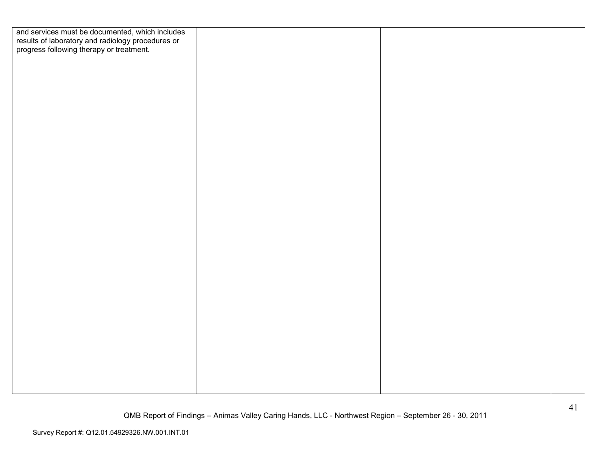| and services must be documented, which includes<br>results of laboratory and radiology procedures or<br>progress following therapy or treatment. |
|--------------------------------------------------------------------------------------------------------------------------------------------------|
|                                                                                                                                                  |
|                                                                                                                                                  |
|                                                                                                                                                  |
|                                                                                                                                                  |
|                                                                                                                                                  |
|                                                                                                                                                  |
|                                                                                                                                                  |
|                                                                                                                                                  |
|                                                                                                                                                  |
|                                                                                                                                                  |
|                                                                                                                                                  |
|                                                                                                                                                  |
|                                                                                                                                                  |
|                                                                                                                                                  |
|                                                                                                                                                  |
|                                                                                                                                                  |
|                                                                                                                                                  |
|                                                                                                                                                  |
|                                                                                                                                                  |
|                                                                                                                                                  |
|                                                                                                                                                  |
|                                                                                                                                                  |
|                                                                                                                                                  |
|                                                                                                                                                  |
|                                                                                                                                                  |
|                                                                                                                                                  |
|                                                                                                                                                  |
|                                                                                                                                                  |
|                                                                                                                                                  |
|                                                                                                                                                  |
|                                                                                                                                                  |
|                                                                                                                                                  |
|                                                                                                                                                  |
|                                                                                                                                                  |
|                                                                                                                                                  |
|                                                                                                                                                  |
|                                                                                                                                                  |
|                                                                                                                                                  |
|                                                                                                                                                  |
|                                                                                                                                                  |
|                                                                                                                                                  |
|                                                                                                                                                  |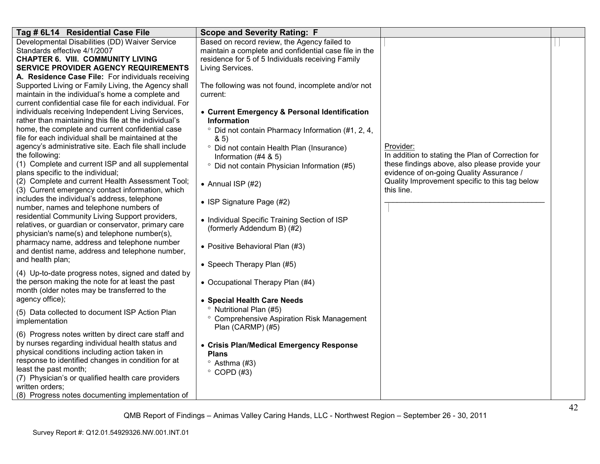| Tag # 6L14 Residential Case File                                                                        | <b>Scope and Severity Rating: F</b>                                         |                                                   |  |
|---------------------------------------------------------------------------------------------------------|-----------------------------------------------------------------------------|---------------------------------------------------|--|
| Developmental Disabilities (DD) Waiver Service                                                          | Based on record review, the Agency failed to                                |                                                   |  |
| Standards effective 4/1/2007                                                                            | maintain a complete and confidential case file in the                       |                                                   |  |
| <b>CHAPTER 6. VIII. COMMUNITY LIVING</b>                                                                | residence for 5 of 5 Individuals receiving Family                           |                                                   |  |
| <b>SERVICE PROVIDER AGENCY REQUIREMENTS</b>                                                             | Living Services.                                                            |                                                   |  |
| A. Residence Case File: For individuals receiving                                                       |                                                                             |                                                   |  |
| Supported Living or Family Living, the Agency shall                                                     | The following was not found, incomplete and/or not                          |                                                   |  |
| maintain in the individual's home a complete and                                                        | current:                                                                    |                                                   |  |
| current confidential case file for each individual. For                                                 |                                                                             |                                                   |  |
| individuals receiving Independent Living Services,                                                      | • Current Emergency & Personal Identification                               |                                                   |  |
| rather than maintaining this file at the individual's                                                   | <b>Information</b>                                                          |                                                   |  |
| home, the complete and current confidential case<br>file for each individual shall be maintained at the | <sup>o</sup> Did not contain Pharmacy Information (#1, 2, 4,                |                                                   |  |
| agency's administrative site. Each file shall include                                                   | 8.5                                                                         | Provider:                                         |  |
| the following:                                                                                          | ° Did not contain Health Plan (Insurance)                                   | In addition to stating the Plan of Correction for |  |
| (1) Complete and current ISP and all supplemental                                                       | Information $(#4 8 5)$                                                      | these findings above, also please provide your    |  |
| plans specific to the individual;                                                                       | <sup>o</sup> Did not contain Physician Information (#5)                     | evidence of on-going Quality Assurance /          |  |
| (2) Complete and current Health Assessment Tool;                                                        |                                                                             | Quality Improvement specific to this tag below    |  |
| (3) Current emergency contact information, which                                                        | • Annual ISP $(#2)$                                                         | this line.                                        |  |
| includes the individual's address, telephone                                                            |                                                                             |                                                   |  |
| number, names and telephone numbers of                                                                  | • ISP Signature Page (#2)                                                   |                                                   |  |
| residential Community Living Support providers,                                                         |                                                                             |                                                   |  |
| relatives, or guardian or conservator, primary care                                                     | • Individual Specific Training Section of ISP<br>(formerly Addendum B) (#2) |                                                   |  |
| physician's name(s) and telephone number(s),                                                            |                                                                             |                                                   |  |
| pharmacy name, address and telephone number                                                             | • Positive Behavioral Plan (#3)                                             |                                                   |  |
| and dentist name, address and telephone number,                                                         |                                                                             |                                                   |  |
| and health plan;                                                                                        | • Speech Therapy Plan (#5)                                                  |                                                   |  |
| (4) Up-to-date progress notes, signed and dated by                                                      |                                                                             |                                                   |  |
| the person making the note for at least the past                                                        | • Occupational Therapy Plan (#4)                                            |                                                   |  |
| month (older notes may be transferred to the                                                            |                                                                             |                                                   |  |
| agency office);                                                                                         | • Special Health Care Needs                                                 |                                                   |  |
|                                                                                                         | <sup>o</sup> Nutritional Plan (#5)                                          |                                                   |  |
| (5) Data collected to document ISP Action Plan                                                          | ° Comprehensive Aspiration Risk Management                                  |                                                   |  |
| implementation                                                                                          | Plan (CARMP) (#5)                                                           |                                                   |  |
| (6) Progress notes written by direct care staff and                                                     |                                                                             |                                                   |  |
| by nurses regarding individual health status and                                                        | • Crisis Plan/Medical Emergency Response                                    |                                                   |  |
| physical conditions including action taken in                                                           | <b>Plans</b>                                                                |                                                   |  |
| response to identified changes in condition for at                                                      | $\degree$ Asthma (#3)                                                       |                                                   |  |
| least the past month;                                                                                   | $\degree$ COPD (#3)                                                         |                                                   |  |
| (7) Physician's or qualified health care providers                                                      |                                                                             |                                                   |  |
| written orders;                                                                                         |                                                                             |                                                   |  |
| (8) Progress notes documenting implementation of                                                        |                                                                             |                                                   |  |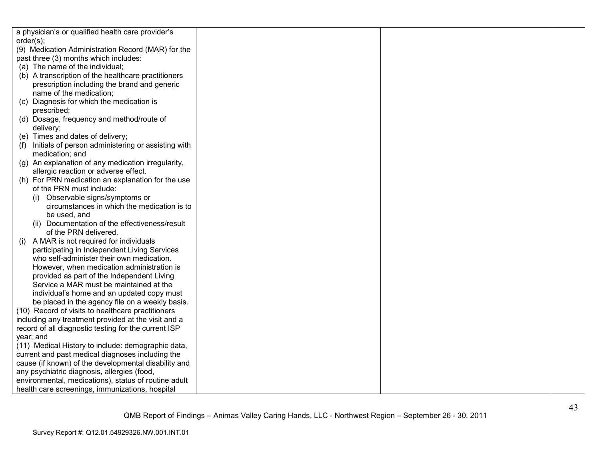| a physician's or qualified health care provider's         |  |  |
|-----------------------------------------------------------|--|--|
| order(s);                                                 |  |  |
| (9) Medication Administration Record (MAR) for the        |  |  |
| past three (3) months which includes:                     |  |  |
| (a) The name of the individual;                           |  |  |
| (b) A transcription of the healthcare practitioners       |  |  |
| prescription including the brand and generic              |  |  |
| name of the medication;                                   |  |  |
| (c) Diagnosis for which the medication is                 |  |  |
| prescribed;                                               |  |  |
| (d) Dosage, frequency and method/route of                 |  |  |
| delivery;                                                 |  |  |
| (e) Times and dates of delivery;                          |  |  |
| Initials of person administering or assisting with<br>(1) |  |  |
| medication; and                                           |  |  |
| (g) An explanation of any medication irregularity,        |  |  |
| allergic reaction or adverse effect.                      |  |  |
| (h) For PRN medication an explanation for the use         |  |  |
| of the PRN must include:                                  |  |  |
| Observable signs/symptoms or                              |  |  |
| circumstances in which the medication is to               |  |  |
| be used, and                                              |  |  |
| (ii) Documentation of the effectiveness/result            |  |  |
| of the PRN delivered.                                     |  |  |
| A MAR is not required for individuals<br>(i)              |  |  |
| participating in Independent Living Services              |  |  |
| who self-administer their own medication.                 |  |  |
| However, when medication administration is                |  |  |
| provided as part of the Independent Living                |  |  |
| Service a MAR must be maintained at the                   |  |  |
| individual's home and an updated copy must                |  |  |
| be placed in the agency file on a weekly basis.           |  |  |
| (10) Record of visits to healthcare practitioners         |  |  |
| including any treatment provided at the visit and a       |  |  |
| record of all diagnostic testing for the current ISP      |  |  |
| year; and                                                 |  |  |
| (11) Medical History to include: demographic data,        |  |  |
| current and past medical diagnoses including the          |  |  |
| cause (if known) of the developmental disability and      |  |  |
| any psychiatric diagnosis, allergies (food,               |  |  |
| environmental, medications), status of routine adult      |  |  |
| health care screenings, immunizations, hospital           |  |  |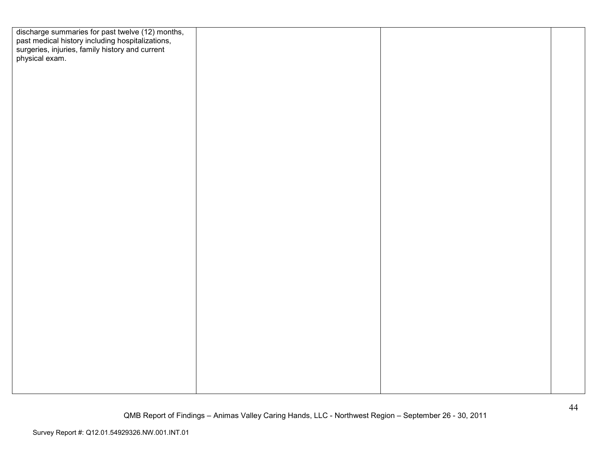| discharge summaries for past twelve (12) months,<br>past medical history including hospitalizations,<br>surgeries, injuries, family history and current<br>physical exam. |  |  |
|---------------------------------------------------------------------------------------------------------------------------------------------------------------------------|--|--|
|                                                                                                                                                                           |  |  |
|                                                                                                                                                                           |  |  |
|                                                                                                                                                                           |  |  |
|                                                                                                                                                                           |  |  |
|                                                                                                                                                                           |  |  |
|                                                                                                                                                                           |  |  |
|                                                                                                                                                                           |  |  |
|                                                                                                                                                                           |  |  |
|                                                                                                                                                                           |  |  |
|                                                                                                                                                                           |  |  |
|                                                                                                                                                                           |  |  |
|                                                                                                                                                                           |  |  |
|                                                                                                                                                                           |  |  |
|                                                                                                                                                                           |  |  |
|                                                                                                                                                                           |  |  |
|                                                                                                                                                                           |  |  |
|                                                                                                                                                                           |  |  |
|                                                                                                                                                                           |  |  |
|                                                                                                                                                                           |  |  |
|                                                                                                                                                                           |  |  |
|                                                                                                                                                                           |  |  |
|                                                                                                                                                                           |  |  |
|                                                                                                                                                                           |  |  |
|                                                                                                                                                                           |  |  |
|                                                                                                                                                                           |  |  |
|                                                                                                                                                                           |  |  |
|                                                                                                                                                                           |  |  |
|                                                                                                                                                                           |  |  |
|                                                                                                                                                                           |  |  |
|                                                                                                                                                                           |  |  |
|                                                                                                                                                                           |  |  |
|                                                                                                                                                                           |  |  |
|                                                                                                                                                                           |  |  |
|                                                                                                                                                                           |  |  |
|                                                                                                                                                                           |  |  |
|                                                                                                                                                                           |  |  |
|                                                                                                                                                                           |  |  |
|                                                                                                                                                                           |  |  |
|                                                                                                                                                                           |  |  |
|                                                                                                                                                                           |  |  |
|                                                                                                                                                                           |  |  |
|                                                                                                                                                                           |  |  |
|                                                                                                                                                                           |  |  |
|                                                                                                                                                                           |  |  |
|                                                                                                                                                                           |  |  |
|                                                                                                                                                                           |  |  |
|                                                                                                                                                                           |  |  |
|                                                                                                                                                                           |  |  |
|                                                                                                                                                                           |  |  |
|                                                                                                                                                                           |  |  |
|                                                                                                                                                                           |  |  |
|                                                                                                                                                                           |  |  |
|                                                                                                                                                                           |  |  |
|                                                                                                                                                                           |  |  |
|                                                                                                                                                                           |  |  |
|                                                                                                                                                                           |  |  |
|                                                                                                                                                                           |  |  |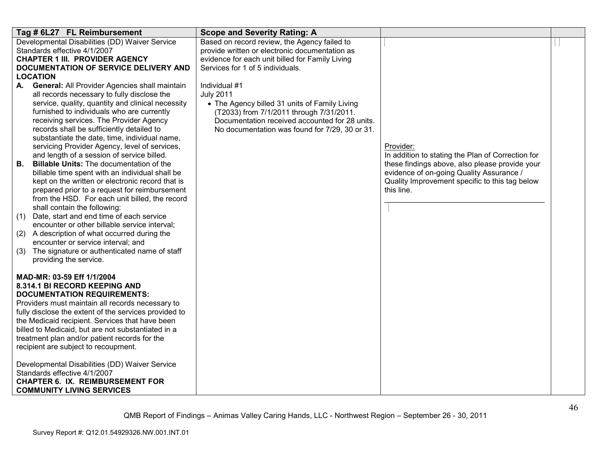| Tag # 6L27 FL Reimbursement                                                                              | <b>Scope and Severity Rating: A</b>             |                                                                                                     |  |
|----------------------------------------------------------------------------------------------------------|-------------------------------------------------|-----------------------------------------------------------------------------------------------------|--|
| Developmental Disabilities (DD) Waiver Service                                                           | Based on record review, the Agency failed to    |                                                                                                     |  |
| Standards effective 4/1/2007                                                                             | provide written or electronic documentation as  |                                                                                                     |  |
| <b>CHAPTER 1 III. PROVIDER AGENCY</b>                                                                    | evidence for each unit billed for Family Living |                                                                                                     |  |
| DOCUMENTATION OF SERVICE DELIVERY AND                                                                    | Services for 1 of 5 individuals.                |                                                                                                     |  |
| <b>LOCATION</b><br><b>General: All Provider Agencies shall maintain</b><br>А.                            | Individual #1                                   |                                                                                                     |  |
| all records necessary to fully disclose the                                                              | <b>July 2011</b>                                |                                                                                                     |  |
| service, quality, quantity and clinical necessity                                                        | • The Agency billed 31 units of Family Living   |                                                                                                     |  |
| furnished to individuals who are currently                                                               | (T2033) from 7/1/2011 through 7/31/2011.        |                                                                                                     |  |
| receiving services. The Provider Agency                                                                  | Documentation received accounted for 28 units.  |                                                                                                     |  |
| records shall be sufficiently detailed to                                                                | No documentation was found for 7/29, 30 or 31.  |                                                                                                     |  |
| substantiate the date, time, individual name,                                                            |                                                 |                                                                                                     |  |
| servicing Provider Agency, level of services,                                                            |                                                 | Provider:                                                                                           |  |
| and length of a session of service billed.<br><b>Billable Units: The documentation of the</b><br>В.      |                                                 | In addition to stating the Plan of Correction for<br>these findings above, also please provide your |  |
| billable time spent with an individual shall be                                                          |                                                 | evidence of on-going Quality Assurance /                                                            |  |
| kept on the written or electronic record that is                                                         |                                                 | Quality Improvement specific to this tag below                                                      |  |
| prepared prior to a request for reimbursement                                                            |                                                 | this line.                                                                                          |  |
| from the HSD. For each unit billed, the record                                                           |                                                 |                                                                                                     |  |
| shall contain the following:                                                                             |                                                 |                                                                                                     |  |
| Date, start and end time of each service<br>(1)                                                          |                                                 |                                                                                                     |  |
| encounter or other billable service interval;                                                            |                                                 |                                                                                                     |  |
| (2) A description of what occurred during the<br>encounter or service interval; and                      |                                                 |                                                                                                     |  |
| (3)<br>The signature or authenticated name of staff                                                      |                                                 |                                                                                                     |  |
| providing the service.                                                                                   |                                                 |                                                                                                     |  |
|                                                                                                          |                                                 |                                                                                                     |  |
| MAD-MR: 03-59 Eff 1/1/2004                                                                               |                                                 |                                                                                                     |  |
| 8.314.1 BI RECORD KEEPING AND                                                                            |                                                 |                                                                                                     |  |
| <b>DOCUMENTATION REQUIREMENTS:</b>                                                                       |                                                 |                                                                                                     |  |
| Providers must maintain all records necessary to                                                         |                                                 |                                                                                                     |  |
| fully disclose the extent of the services provided to<br>the Medicaid recipient. Services that have been |                                                 |                                                                                                     |  |
| billed to Medicaid, but are not substantiated in a                                                       |                                                 |                                                                                                     |  |
| treatment plan and/or patient records for the                                                            |                                                 |                                                                                                     |  |
| recipient are subject to recoupment.                                                                     |                                                 |                                                                                                     |  |
|                                                                                                          |                                                 |                                                                                                     |  |
| Developmental Disabilities (DD) Waiver Service                                                           |                                                 |                                                                                                     |  |
| Standards effective 4/1/2007                                                                             |                                                 |                                                                                                     |  |
| <b>CHAPTER 6. IX. REIMBURSEMENT FOR</b>                                                                  |                                                 |                                                                                                     |  |
| <b>COMMUNITY LIVING SERVICES</b>                                                                         |                                                 |                                                                                                     |  |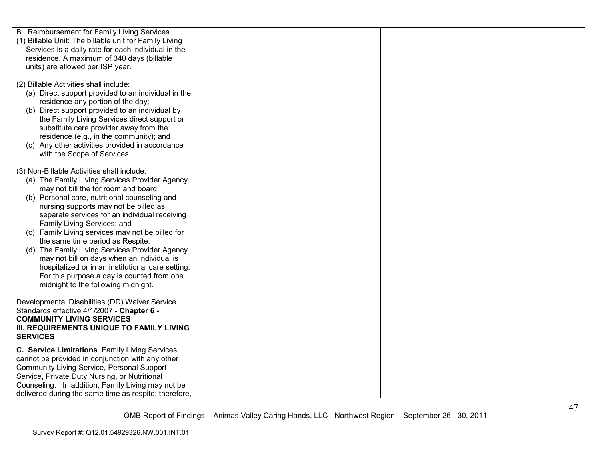| B. Reimbursement for Family Living Services                                                        |  |  |
|----------------------------------------------------------------------------------------------------|--|--|
| (1) Billable Unit: The billable unit for Family Living                                             |  |  |
| Services is a daily rate for each individual in the                                                |  |  |
| residence. A maximum of 340 days (billable                                                         |  |  |
| units) are allowed per ISP year.                                                                   |  |  |
|                                                                                                    |  |  |
| (2) Billable Activities shall include:                                                             |  |  |
| (a) Direct support provided to an individual in the                                                |  |  |
| residence any portion of the day;                                                                  |  |  |
| (b) Direct support provided to an individual by                                                    |  |  |
| the Family Living Services direct support or                                                       |  |  |
| substitute care provider away from the                                                             |  |  |
| residence (e.g., in the community); and                                                            |  |  |
| (c) Any other activities provided in accordance                                                    |  |  |
| with the Scope of Services.                                                                        |  |  |
|                                                                                                    |  |  |
| (3) Non-Billable Activities shall include:                                                         |  |  |
| (a) The Family Living Services Provider Agency                                                     |  |  |
| may not bill the for room and board;                                                               |  |  |
| (b) Personal care, nutritional counseling and                                                      |  |  |
| nursing supports may not be billed as                                                              |  |  |
| separate services for an individual receiving                                                      |  |  |
| Family Living Services; and                                                                        |  |  |
| (c) Family Living services may not be billed for                                                   |  |  |
| the same time period as Respite.                                                                   |  |  |
| (d) The Family Living Services Provider Agency                                                     |  |  |
| may not bill on days when an individual is                                                         |  |  |
| hospitalized or in an institutional care setting.<br>For this purpose a day is counted from one    |  |  |
| midnight to the following midnight.                                                                |  |  |
|                                                                                                    |  |  |
| Developmental Disabilities (DD) Waiver Service                                                     |  |  |
| Standards effective 4/1/2007 - Chapter 6 -                                                         |  |  |
| <b>COMMUNITY LIVING SERVICES</b>                                                                   |  |  |
| III. REQUIREMENTS UNIQUE TO FAMILY LIVING                                                          |  |  |
| <b>SERVICES</b>                                                                                    |  |  |
|                                                                                                    |  |  |
| C. Service Limitations. Family Living Services<br>cannot be provided in conjunction with any other |  |  |
| <b>Community Living Service, Personal Support</b>                                                  |  |  |
| Service, Private Duty Nursing, or Nutritional                                                      |  |  |
| Counseling. In addition, Family Living may not be                                                  |  |  |
| delivered during the same time as respite; therefore,                                              |  |  |
|                                                                                                    |  |  |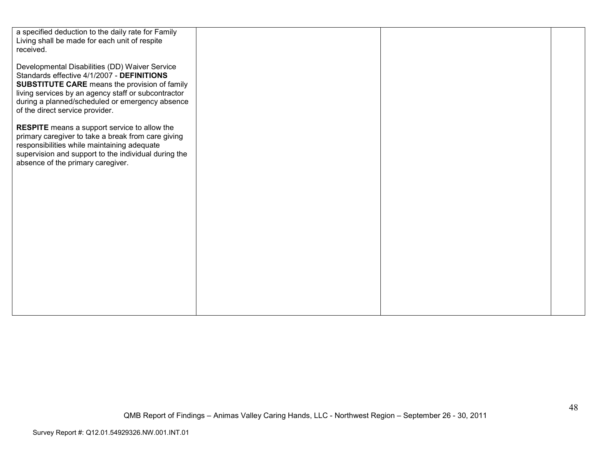| a specified deduction to the daily rate for Family<br>Living shall be made for each unit of respite<br>received.                                                                                                                                                                                  |  |  |
|---------------------------------------------------------------------------------------------------------------------------------------------------------------------------------------------------------------------------------------------------------------------------------------------------|--|--|
| Developmental Disabilities (DD) Waiver Service<br>Standards effective 4/1/2007 - DEFINITIONS<br><b>SUBSTITUTE CARE</b> means the provision of family<br>living services by an agency staff or subcontractor<br>during a planned/scheduled or emergency absence<br>of the direct service provider. |  |  |
| <b>RESPITE</b> means a support service to allow the<br>primary caregiver to take a break from care giving<br>responsibilities while maintaining adequate<br>supervision and support to the individual during the<br>absence of the primary caregiver.                                             |  |  |
|                                                                                                                                                                                                                                                                                                   |  |  |
|                                                                                                                                                                                                                                                                                                   |  |  |
|                                                                                                                                                                                                                                                                                                   |  |  |
|                                                                                                                                                                                                                                                                                                   |  |  |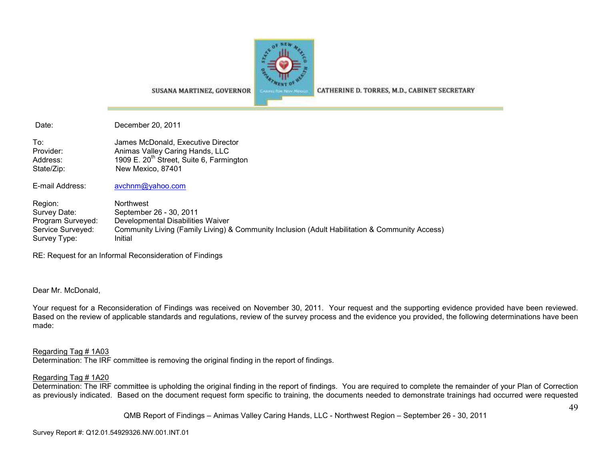

SUSANA MARTINEZ, GOVERNOR

CATHERINE D. TORRES, M.D., CABINET SECRETARY

Date: December 20, 2011

To: James McDonald, Executive Director Provider: Animas Valley Caring Hands, LLC Address: 1909 E. 20<sup>th</sup> Street, Suite 6, Farmington State/Zip: New Mexico, 87401

E-mail Address: avchnm@yahoo.com

Region: Northwest Survey Date: September 26 - 30, 2011 Program Surveyed: Developmental Disabilities Waiver Service Surveyed: Community Living (Family Living) & Community Inclusion (Adult Habilitation & Community Access) Survey Type: Initial

RE: Request for an Informal Reconsideration of Findings

Dear Mr. McDonald,

Your request for a Reconsideration of Findings was received on November 30, 2011. Your request and the supporting evidence provided have been reviewed. Based on the review of applicable standards and regulations, review of the survey process and the evidence you provided, the following determinations have been made:

Regarding Tag # 1A03

Determination: The IRF committee is removing the original finding in the report of findings.

#### Regarding Tag # 1A20

 Determination: The IRF committee is upholding the original finding in the report of findings. You are required to complete the remainder of your Plan of Correction as previously indicated. Based on the document request form specific to training, the documents needed to demonstrate trainings had occurred were requested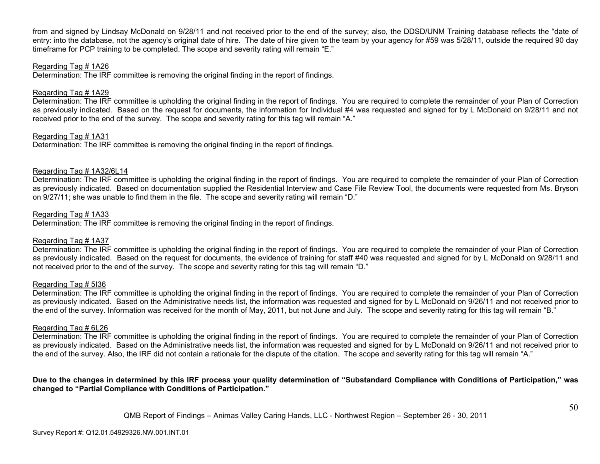from and signed by Lindsay McDonald on 9/28/11 and not received prior to the end of the survey; also, the DDSD/UNM Training database reflects the "date of entry: into the database, not the agency's original date of hire. The date of hire given to the team by your agency for #59 was 5/28/11, outside the required 90 day timeframe for PCP training to be completed. The scope and severity rating will remain "E."

#### Regarding Tag # 1A26

Determination: The IRF committee is removing the original finding in the report of findings.

#### Regarding Tag # 1A29

 Determination: The IRF committee is upholding the original finding in the report of findings. You are required to complete the remainder of your Plan of Correction as previously indicated. Based on the request for documents, the information for Individual #4 was requested and signed for by L McDonald on 9/28/11 and not received prior to the end of the survey. The scope and severity rating for this tag will remain "A."

#### Regarding Tag # 1A31

Determination: The IRF committee is removing the original finding in the report of findings.

#### Regarding Tag # 1A32/6L14

 Determination: The IRF committee is upholding the original finding in the report of findings. You are required to complete the remainder of your Plan of Correction as previously indicated. Based on documentation supplied the Residential Interview and Case File Review Tool, the documents were requested from Ms. Bryson on 9/27/11; she was unable to find them in the file. The scope and severity rating will remain "D."

#### Regarding Tag # 1A33

Determination: The IRF committee is removing the original finding in the report of findings.

#### Regarding Tag # 1A37

 Determination: The IRF committee is upholding the original finding in the report of findings. You are required to complete the remainder of your Plan of Correction as previously indicated. Based on the request for documents, the evidence of training for staff #40 was requested and signed for by L McDonald on 9/28/11 and not received prior to the end of the survey. The scope and severity rating for this tag will remain "D."

#### Regarding Tag # 5I36

 Determination: The IRF committee is upholding the original finding in the report of findings. You are required to complete the remainder of your Plan of Correction as previously indicated. Based on the Administrative needs list, the information was requested and signed for by L McDonald on 9/26/11 and not received prior to the end of the survey. Information was received for the month of May, 2011, but not June and July. The scope and severity rating for this tag will remain "B."

#### Regarding Tag # 6L26

 Determination: The IRF committee is upholding the original finding in the report of findings. You are required to complete the remainder of your Plan of Correction as previously indicated. Based on the Administrative needs list, the information was requested and signed for by L McDonald on 9/26/11 and not received prior to the end of the survey. Also, the IRF did not contain a rationale for the dispute of the citation. The scope and severity rating for this tag will remain "A."

#### **Due to the changes in determined by this IRF process your quality determination of "Substandard Compliance with Conditions of Participation," was changed to "Partial Compliance with Conditions of Participation."**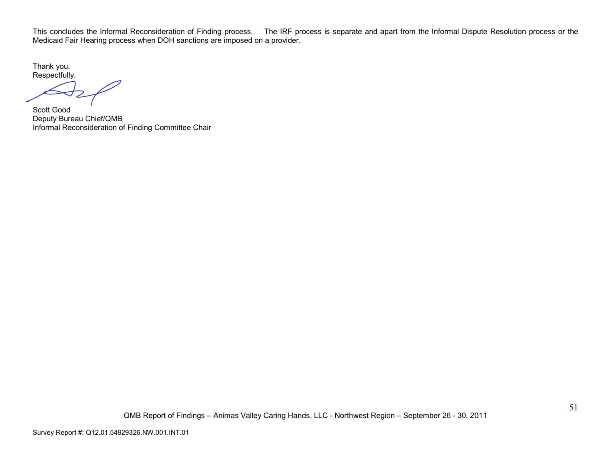This concludes the Informal Reconsideration of Finding process. The IRF process is separate and apart from the Informal Dispute Resolution process or the Medicaid Fair Hearing process when DOH sanctions are imposed on a provider.

Thank you. Respectfully,

Scott Good Deputy Bureau Chief/QMB Informal Reconsideration of Finding Committee Chair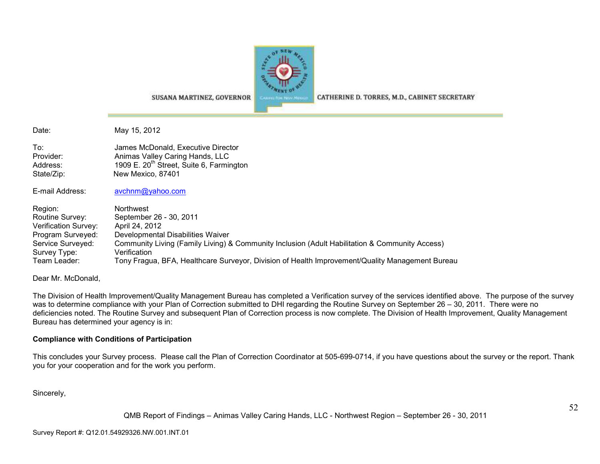

CATHERINE D. TORRES, M.D., CABINET SECRETARY

Date: May 15, 2012

To: James McDonald, Executive Director Provider: Animas Valley Caring Hands, LLC Address: 1909 E. 20<sup>th</sup> Street, Suite 6, Farmington State/Zip: New Mexico, 87401

E-mail Address: avchnm@yahoo.com

Region: Northwest<br>Routine Survey: September Routine Survey: September 26 - 30, 2011 Verification Survey: April 24, 2012<br>Program Surveyed: Developmenta Program Surveyed: Developmental Disabilities Waiver Service Surveyed: Community Living (Family Living) & Community Inclusion (Adult Habilitation & Community Access) Survey Type: Verification Team Leader: Tony Fragua, BFA, Healthcare Surveyor, Division of Health Improvement/Quality Management Bureau

SUSANA MARTINEZ, GOVERNOR

Dear Mr. McDonald,

The Division of Health Improvement/Quality Management Bureau has completed a Verification survey of the services identified above. The purpose of the survey was to determine compliance with your Plan of Correction submitted to DHI regarding the Routine Survey on September 26 – 30, 2011. There were no deficiencies noted. The Routine Survey and subsequent Plan of Correction process is now complete. The Division of Health Improvement, Quality Management Bureau has determined your agency is in:

#### **Compliance with Conditions of Participation**

This concludes your Survey process. Please call the Plan of Correction Coordinator at 505-699-0714, if you have questions about the survey or the report. Thank you for your cooperation and for the work you perform.

Sincerely,